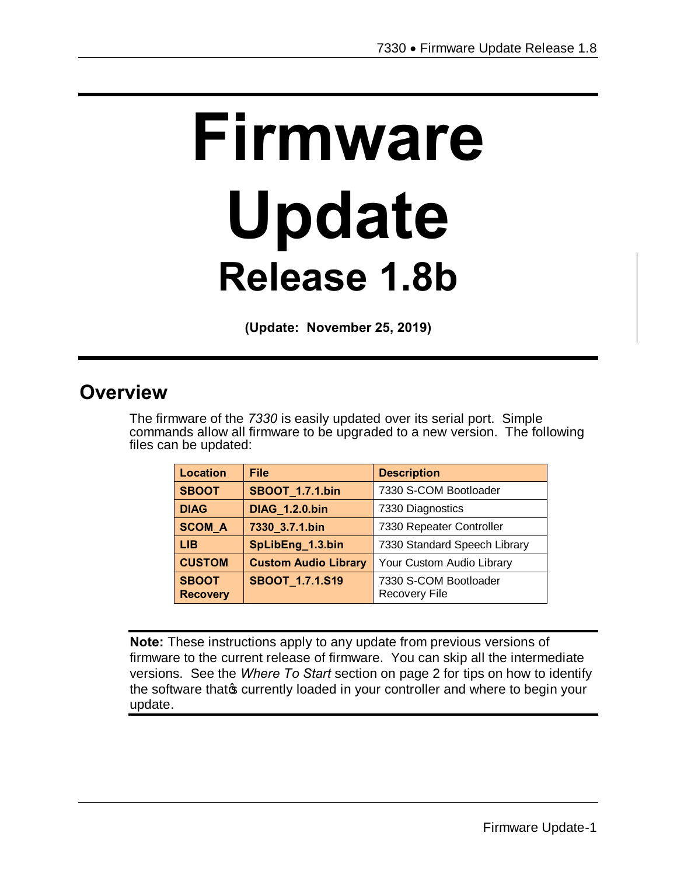# **Firmware Update Release 1.8b**

**(Update: November 25, 2019)**

## **Overview**

The firmware of the *7330* is easily updated over its serial port. Simple commands allow all firmware to be upgraded to a new version. The following files can be updated:

| Location                        | <b>File</b>                 | <b>Description</b>                            |
|---------------------------------|-----------------------------|-----------------------------------------------|
| <b>SBOOT</b>                    | <b>SBOOT_1.7.1.bin</b>      | 7330 S-COM Bootloader                         |
| <b>DIAG</b>                     | <b>DIAG 1.2.0.bin</b>       | 7330 Diagnostics                              |
| <b>SCOM_A</b>                   | 7330_3.7.1.bin              | 7330 Repeater Controller                      |
| <b>LIB</b>                      | SpLibEng_1.3.bin            | 7330 Standard Speech Library                  |
| <b>CUSTOM</b>                   | <b>Custom Audio Library</b> | Your Custom Audio Library                     |
| <b>SBOOT</b><br><b>Recovery</b> | SBOOT_1.7.1.S19             | 7330 S-COM Bootloader<br><b>Recovery File</b> |

**Note:** These instructions apply to any update from previous versions of firmware to the current release of firmware. You can skip all the intermediate versions. See the *Where To Start* section on page 2 for tips on how to identify the software that of currently loaded in your controller and where to begin your update.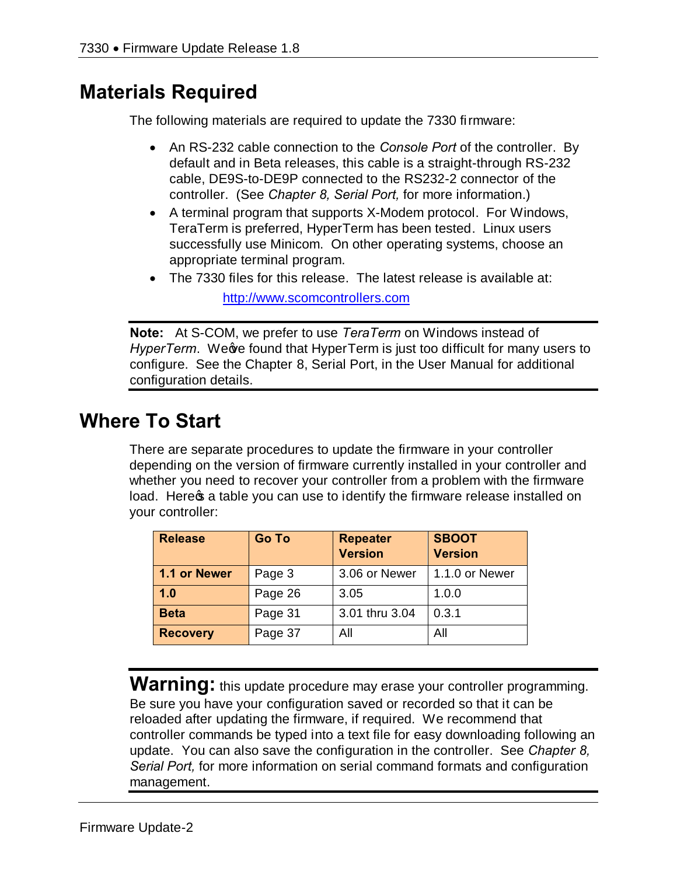# **Materials Required**

The following materials are required to update the 7330 firmware:

- · An RS-232 cable connection to the *Console Port* of the controller. By default and in Beta releases, this cable is a straight-through RS-232 cable, DE9S-to-DE9P connected to the RS232-2 connector of the controller. (See *Chapter 8, Serial Port,* for more information.)
- · A terminal program that supports X-Modem protocol. For Windows, TeraTerm is preferred, HyperTerm has been tested. Linux users successfully use Minicom. On other operating systems, choose an appropriate terminal program.
- · The 7330 files for this release. The latest release is available at: http://www.scomcontrollers.com

**Note:** At S-COM, we prefer to use *TeraTerm* on Windows instead of *HyperTerm.* We we found that HyperTerm is just too difficult for many users to configure. See the Chapter 8, Serial Port, in the User Manual for additional configuration details.

## **Where To Start**

There are separate procedures to update the firmware in your controller depending on the version of firmware currently installed in your controller and whether you need to recover your controller from a problem with the firmware load. Here a table you can use to identify the firmware release installed on your controller:

| <b>Release</b>  | <b>Go To</b> | <b>Repeater</b><br><b>Version</b> | <b>SBOOT</b><br><b>Version</b> |
|-----------------|--------------|-----------------------------------|--------------------------------|
| 1.1 or Newer    | Page 3       | 3.06 or Newer                     | 1.1.0 or Newer                 |
| 1.0             | Page 26      | 3.05                              | 1.0.0                          |
| <b>Beta</b>     | Page 31      | 3.01 thru 3.04                    | 0.3.1                          |
| <b>Recovery</b> | Page 37      | All                               | All                            |

**Warning:** this update procedure may erase your controller programming. Be sure you have your configuration saved or recorded so that it can be reloaded after updating the firmware, if required. We recommend that controller commands be typed into a text file for easy downloading following an update. You can also save the configuration in the controller. See *Chapter 8, Serial Port,* for more information on serial command formats and configuration management.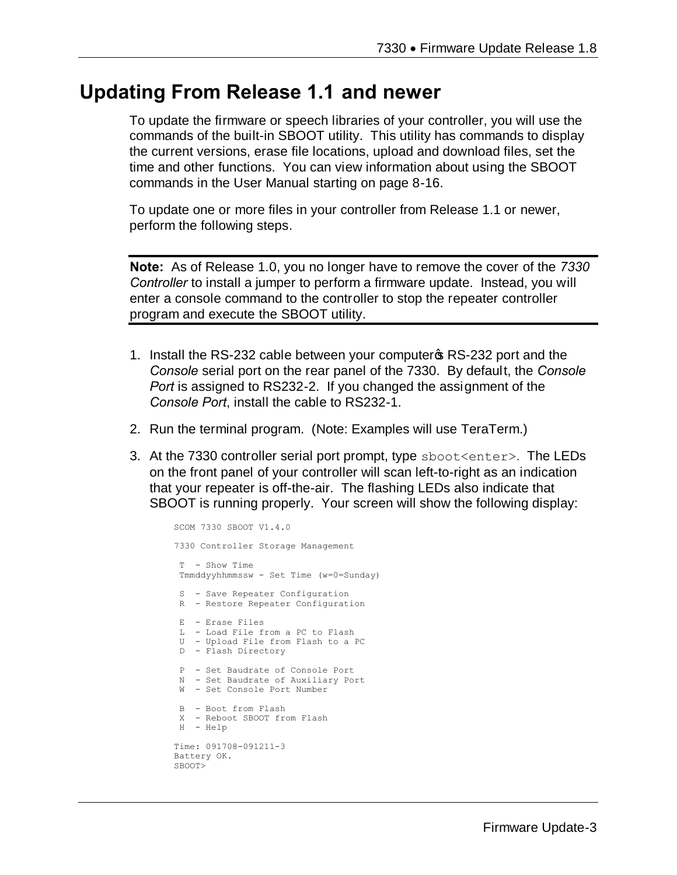## **Updating From Release 1.1 and newer**

To update the firmware or speech libraries of your controller, you will use the commands of the built-in SBOOT utility. This utility has commands to display the current versions, erase file locations, upload and download files, set the time and other functions. You can view information about using the SBOOT commands in the User Manual starting on page 8-16.

To update one or more files in your controller from Release 1.1 or newer, perform the following steps.

**Note:** As of Release 1.0, you no longer have to remove the cover of the *7330 Controller* to install a jumper to perform a firmware update. Instead, you will enter a console command to the controller to stop the repeater controller program and execute the SBOOT utility.

- 1. Install the RS-232 cable between your computer **s** RS-232 port and the *Console* serial port on the rear panel of the 7330. By default, the *Console Port* is assigned to RS232-2. If you changed the assignment of the *Console Port*, install the cable to RS232-1.
- 2. Run the terminal program. (Note: Examples will use TeraTerm.)
- 3. At the 7330 controller serial port prompt, type sboot<enter>. The LEDs on the front panel of your controller will scan left-to-right as an indication that your repeater is off-the-air. The flashing LEDs also indicate that SBOOT is running properly. Your screen will show the following display:

SCOM 7330 SBOOT V1.4.0 7330 Controller Storage Management T - Show Time Tmmddyyhhmmssw - Set Time (w=0=Sunday) S - Save Repeater Configuration R - Restore Repeater Configuration E - Erase Files L - Load File from a PC to Flash U - Upload File from Flash to a PC D - Flash Directory P - Set Baudrate of Console Port N - Set Baudrate of Auxiliary Port W - Set Console Port Number B - Boot from Flash X - Reboot SBOOT from Flash H - Help Time: 091708-091211-3 Battery OK. SBOOT>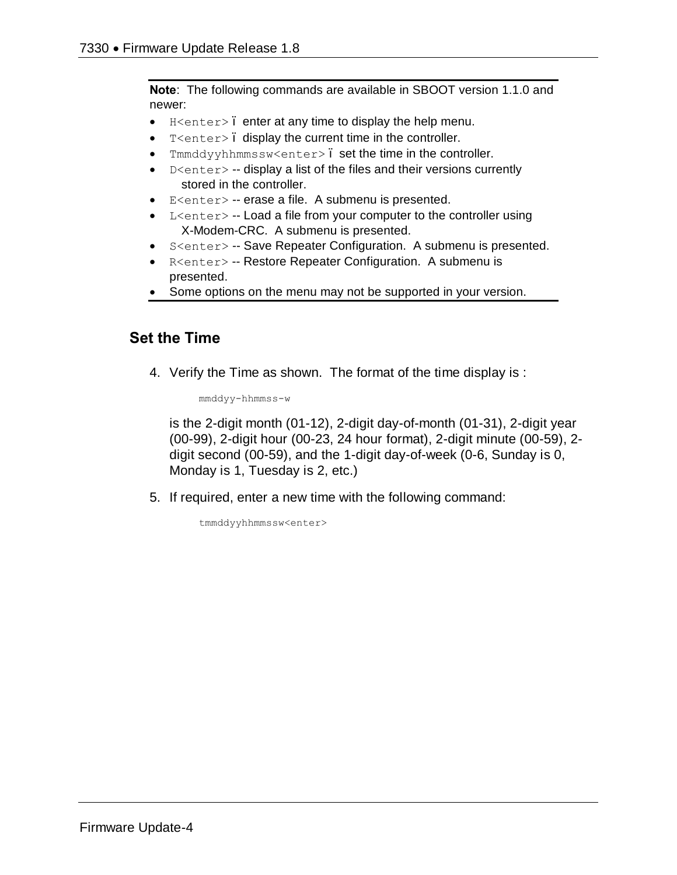**Note**: The following commands are available in SBOOT version 1.1.0 and newer:

- $\bullet$  H<enter>. enter at any time to display the help menu.
- · T<enter> display the current time in the controller.
- Tmmddyyhhmmssw<enter>. set the time in the controller.
- D<enter> -- display a list of the files and their versions currently stored in the controller.
- · E<enter> -- erase a file. A submenu is presented.
- L<enter> -- Load a file from your computer to the controller using X-Modem-CRC. A submenu is presented.
- S<enter> -- Save Repeater Configuration. A submenu is presented.
- · R<enter> -- Restore Repeater Configuration. A submenu is presented.
- Some options on the menu may not be supported in your version.

#### **Set the Time**

4. Verify the Time as shown. The format of the time display is :

mmddyy-hhmmss-w

is the 2-digit month (01-12), 2-digit day-of-month (01-31), 2-digit year (00-99), 2-digit hour (00-23, 24 hour format), 2-digit minute (00-59), 2 digit second (00-59), and the 1-digit day-of-week (0-6, Sunday is 0, Monday is 1, Tuesday is 2, etc.)

5. If required, enter a new time with the following command:

tmmddyyhhmmssw<enter>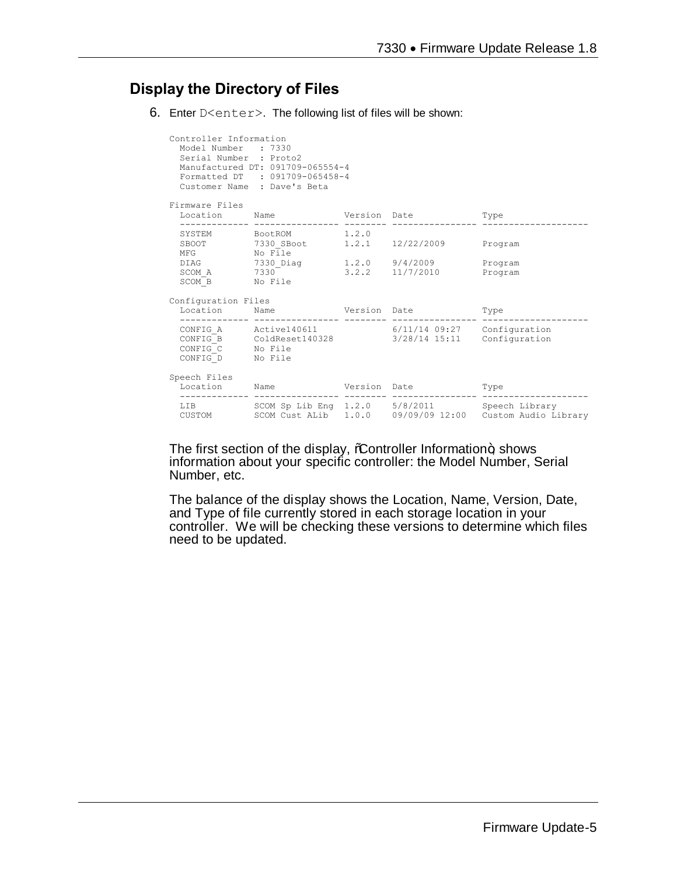### **Display the Directory of Files**

6. Enter D<enter>. The following list of files will be shown:

| Controller Information<br>Model Number : 7330<br>Serial Number : Proto2 | Manufactured DT: 091709-065554-4<br>Formatted DT : 091709-065458-4<br>Customer Name : Dave's Beta                                                                                                                                                                                                                                                                                                                                                                                        |  |                                                                 |
|-------------------------------------------------------------------------|------------------------------------------------------------------------------------------------------------------------------------------------------------------------------------------------------------------------------------------------------------------------------------------------------------------------------------------------------------------------------------------------------------------------------------------------------------------------------------------|--|-----------------------------------------------------------------|
| Firmware Files                                                          |                                                                                                                                                                                                                                                                                                                                                                                                                                                                                          |  |                                                                 |
|                                                                         | Location Name Version Date Type                                                                                                                                                                                                                                                                                                                                                                                                                                                          |  |                                                                 |
|                                                                         | SYSTEM BootROM 1.2.0<br>${\tt SBOOT} \begin{tabular}{lcccc} \multicolumn{2}{c}{\textbf{SBOOT}} & \multicolumn{2}{c}{\textbf{7330\_SBook}} & \multicolumn{2}{c}{\textbf{1.2.1}} & \multicolumn{2}{c}{\textbf{12/22/2009}} & \multicolumn{2}{c}{\textbf{Program}} \\ \multicolumn{2}{c}{\textbf{MFG}} & \multicolumn{2}{c}{\textbf{No File}} & \multicolumn{2}{c}{\textbf{1.2.1}} & \multicolumn{2}{c}{\textbf{12/22/2009}} & \multicolumn{2}{c}{\textbf{Program}} \\ \multicolumn{2}{c}{$ |  |                                                                 |
| SCOM B No File                                                          | DIAG 7330_Diag 1.2.0 9/4/2009<br>SCOM A $7330$ $3.2.2$ $11/7/2010$ Program                                                                                                                                                                                                                                                                                                                                                                                                               |  | Program                                                         |
| Configuration Files                                                     |                                                                                                                                                                                                                                                                                                                                                                                                                                                                                          |  |                                                                 |
|                                                                         | Location Mame Version Date Type                                                                                                                                                                                                                                                                                                                                                                                                                                                          |  |                                                                 |
| CONFIG D No File                                                        | CONFIG A Active140611 6/11/14 09:27 Configuration<br>$CONFIG\overline{B}$ ColdReset140328 3/28/14 15:11 Configuration CONFIG_C No File                                                                                                                                                                                                                                                                                                                                                   |  |                                                                 |
| Speech Files                                                            | Location Name Version Date                                                                                                                                                                                                                                                                                                                                                                                                                                                               |  | Type                                                            |
|                                                                         | LIB SCOM Sp Lib Eng 1.2.0 5/8/2011 Speech Library                                                                                                                                                                                                                                                                                                                                                                                                                                        |  | CUSTOM SCOM Cust ALib 1.0.0 09/09/09 12:00 Custom Audio Library |

The first section of the display, %Controller Information+, shows information about your specific controller: the Model Number, Serial Number, etc.

The balance of the display shows the Location, Name, Version, Date, and Type of file currently stored in each storage location in your controller. We will be checking these versions to determine which files need to be updated.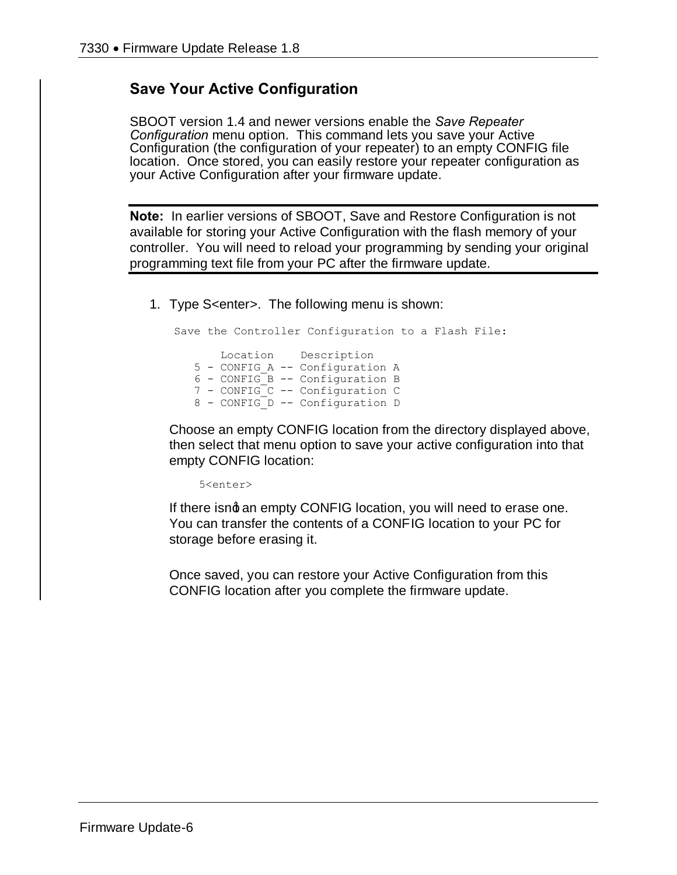### **Save Your Active Configuration**

SBOOT version 1.4 and newer versions enable the *Save Repeater Configuration* menu option. This command lets you save your Active Configuration (the configuration of your repeater) to an empty CONFIG file location. Once stored, you can easily restore your repeater configuration as your Active Configuration after your firmware update.

**Note:** In earlier versions of SBOOT, Save and Restore Configuration is not available for storing your Active Configuration with the flash memory of your controller. You will need to reload your programming by sending your original programming text file from your PC after the firmware update.

1. Type S<enter>. The following menu is shown:

Save the Controller Configuration to a Flash File: Location Description 5 - CONFIG\_A -- Configuration A 6 - CONFIG\_B -- Configuration B 7 - CONFIG\_C -- Configuration C 8 - CONFIG D -- Configuration D

Choose an empty CONFIG location from the directory displayed above, then select that menu option to save your active configuration into that empty CONFIG location:

5<enter>

If there isng an empty CONFIG location, you will need to erase one. You can transfer the contents of a CONFIG location to your PC for storage before erasing it.

Once saved, you can restore your Active Configuration from this CONFIG location after you complete the firmware update.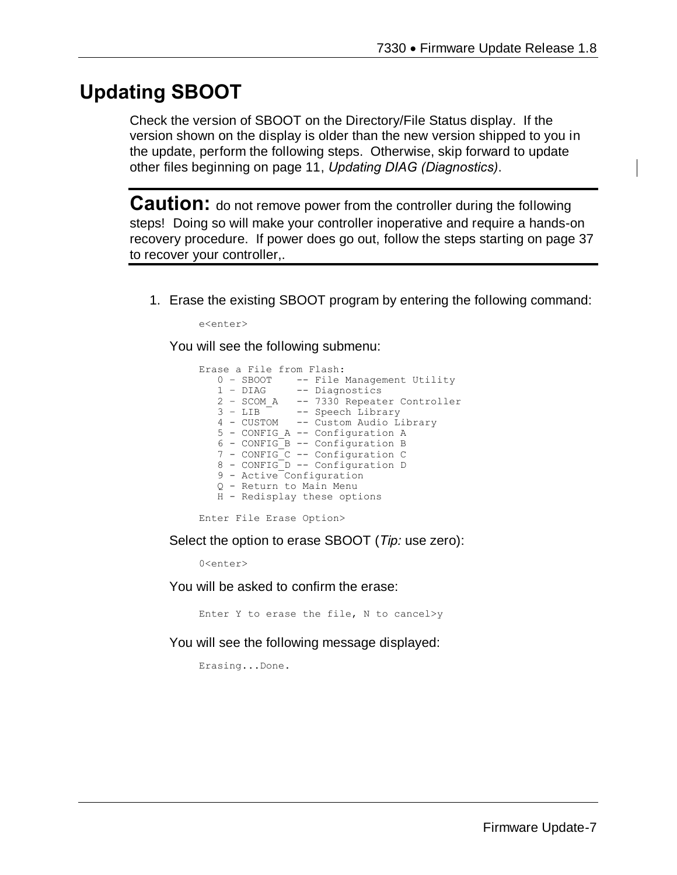# **Updating SBOOT**

Check the version of SBOOT on the Directory/File Status display. If the version shown on the display is older than the new version shipped to you in the update, perform the following steps. Otherwise, skip forward to update other files beginning on page 11, *Updating DIAG (Diagnostics)*.

**Caution:** do not remove power from the controller during the following steps! Doing so will make your controller inoperative and require a hands-on recovery procedure. If power does go out, follow the steps starting on page 37 to recover your controller,.

1. Erase the existing SBOOT program by entering the following command:

e<enter>

You will see the following submenu:

| Erase a File from Flash:               |
|----------------------------------------|
| 0 - SBOOT -- File Management Utility   |
| 1 - DIAG -- Diagnostics                |
| 2 - SCOM A -- 7330 Repeater Controller |
| 3 - LIB -- Speech Library              |
| 4 - CUSTOM -- Custom Audio Library     |
| 5 - CONFIG A -- Configuration A        |
| 6 - CONFIG B -- Configuration B        |
| 7 - CONFIG C -- Configuration C        |
| 8 - CONFIG D -- Configuration D        |
| 9 - Active Configuration               |
| Q - Return to Main Menu                |
| H - Redisplay these options            |
|                                        |

Enter File Erase Option>

Select the option to erase SBOOT (*Tip:* use zero):

0<enter>

You will be asked to confirm the erase:

Enter Y to erase the file, N to cancel>y

You will see the following message displayed:

Erasing...Done.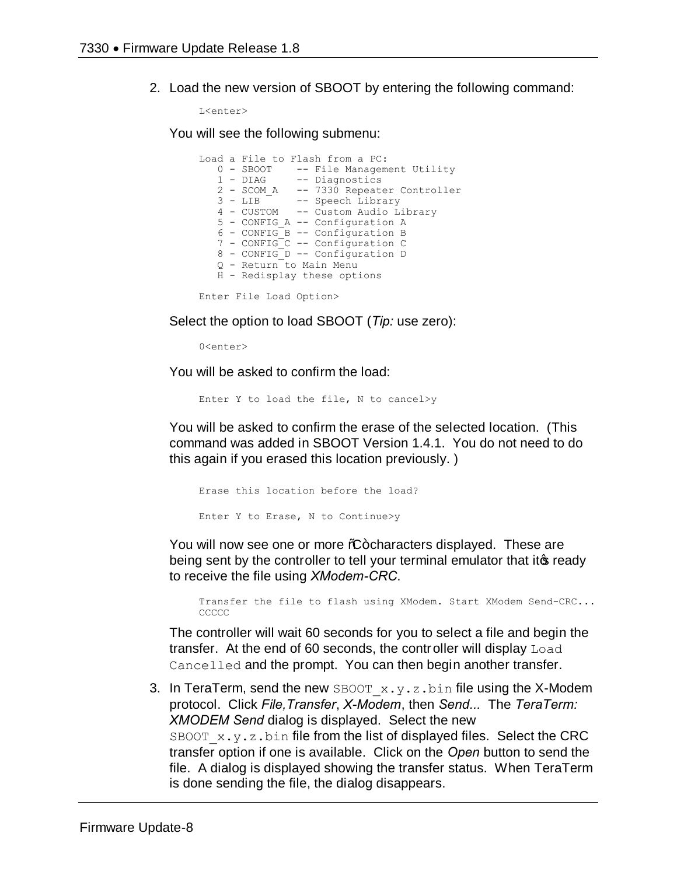2. Load the new version of SBOOT by entering the following command:

L<enter>

You will see the following submenu:

|  | Load a File to Flash from a PC:        |
|--|----------------------------------------|
|  | 0 - SBOOT -- File Management Utility   |
|  | 1 - DIAG -- Diagnostics                |
|  | 2 - SCOM A -- 7330 Repeater Controller |
|  | 3 - LIB -- Speech Library              |
|  | 4 - CUSTOM -- Custom Audio Library     |
|  | 5 - CONFIG A -- Configuration A        |
|  | 6 - CONFIG B -- Configuration B        |
|  | 7 - CONFIG C -- Configuration C        |
|  | 8 - CONFIG D -- Configuration D        |
|  | 0 - Return to Main Menu                |
|  | H - Redisplay these options            |
|  |                                        |
|  |                                        |

Enter File Load Option>

Select the option to load SBOOT (*Tip:* use zero):

0<enter>

You will be asked to confirm the load:

Enter Y to load the file, N to cancel>y

You will be asked to confirm the erase of the selected location. (This command was added in SBOOT Version 1.4.1. You do not need to do this again if you erased this location previously. )

Erase this location before the load? Enter Y to Erase, N to Continue>y

You will now see one or more %-characters displayed. These are being sent by the controller to tell your terminal emulator that it is ready to receive the file using *XModem-CRC*.

Transfer the file to flash using XModem. Start XModem Send-CRC... **CCCCC** 

The controller will wait 60 seconds for you to select a file and begin the transfer. At the end of 60 seconds, the controller will display Load Cancelled and the prompt. You can then begin another transfer.

3. In TeraTerm, send the new SBOOT  $x.y.z.bin$  file using the X-Modem protocol. Click *File,Transfer*, *X-Modem*, then *Send...* The *TeraTerm: XMODEM Send* dialog is displayed. Select the new SBOOT  $x.y.z.bin$  file from the list of displayed files. Select the CRC transfer option if one is available. Click on the *Open* button to send the file. A dialog is displayed showing the transfer status. When TeraTerm is done sending the file, the dialog disappears.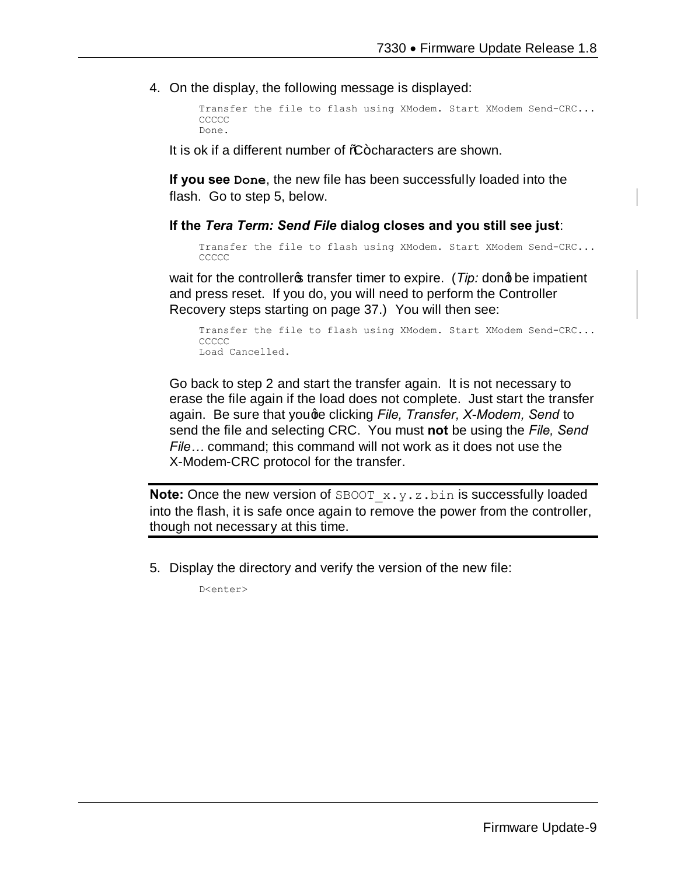4. On the display, the following message is displayed:

```
Transfer the file to flash using XModem. Start XModem Send-CRC...
CCCCC
Done.
```
It is ok if a different number of  $%F$  -characters are shown.

**If you see Done**, the new file has been successfully loaded into the flash. Go to step 5, below.

#### **If the** *Tera Term: Send File* **dialog closes and you still see just**:

```
Transfer the file to flash using XModem. Start XModem Send-CRC...
CCCCC
```
wait for the controller<sub>s</sub> transfer timer to expire. (*Tip:* dong be impatient and press reset. If you do, you will need to perform the Controller Recovery steps starting on page 37.) You will then see:

```
Transfer the file to flash using XModem. Start XModem Send-CRC...
CCCCC
Load Cancelled.
```
Go back to step 2 and start the transfer again. It is not necessary to erase the file again if the load does not complete. Just start the transfer again. Be sure that youge clicking *File, Transfer, X-Modem, Send* to send the file and selecting CRC. You must **not** be using the *File, Send File…* command; this command will not work as it does not use the X-Modem-CRC protocol for the transfer.

**Note:** Once the new version of SBOOT x.y.z.bin is successfully loaded into the flash, it is safe once again to remove the power from the controller, though not necessary at this time.

5. Display the directory and verify the version of the new file:

D<enter>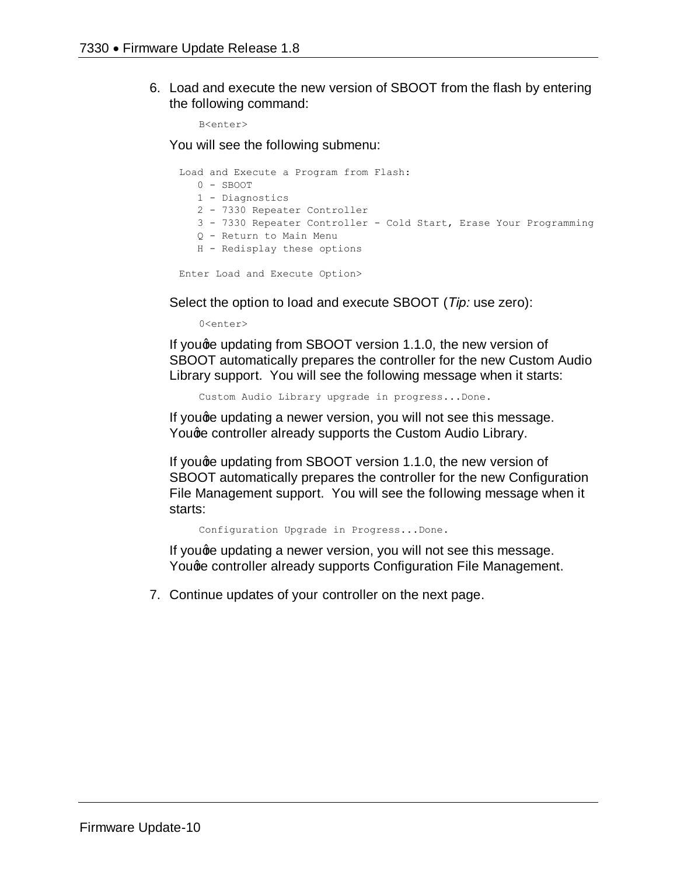6. Load and execute the new version of SBOOT from the flash by entering the following command:

B<enter>

You will see the following submenu:

|  | Load and Execute a Program from Flash:                            |
|--|-------------------------------------------------------------------|
|  | $0 -$ SBOOT                                                       |
|  | 1 - Diagnostics                                                   |
|  | 2 - 7330 Repeater Controller                                      |
|  | 3 - 7330 Repeater Controller - Cold Start, Erase Your Programming |
|  | 0 - Return to Main Menu                                           |
|  | H - Redisplay these options                                       |
|  |                                                                   |

Enter Load and Execute Option>

Select the option to load and execute SBOOT (*Tip:* use zero):

0<enter>

If you ge updating from SBOOT version 1.1.0, the new version of SBOOT automatically prepares the controller for the new Custom Audio Library support. You will see the following message when it starts:

Custom Audio Library upgrade in progress...Done.

If youge updating a newer version, you will not see this message. Youge controller already supports the Custom Audio Library.

If youge updating from SBOOT version 1.1.0, the new version of SBOOT automatically prepares the controller for the new Configuration File Management support. You will see the following message when it starts:

Configuration Upgrade in Progress...Done.

If youge updating a newer version, you will not see this message. Youge controller already supports Configuration File Management.

7. Continue updates of your controller on the next page.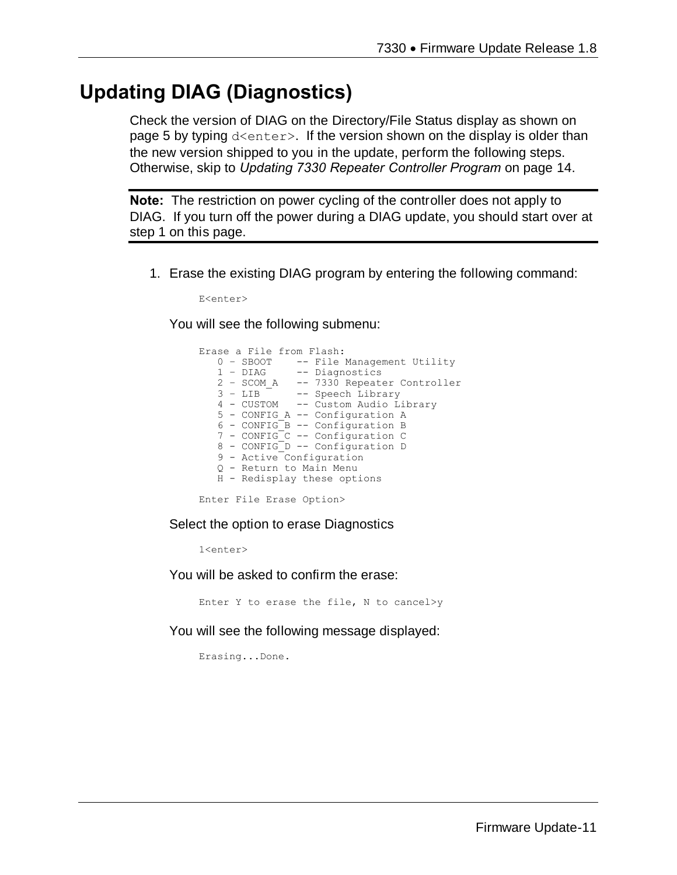# **Updating DIAG (Diagnostics)**

Check the version of DIAG on the Directory/File Status display as shown on page 5 by typing  $d \leq n \leq r$ . If the version shown on the display is older than the new version shipped to you in the update, perform the following steps. Otherwise, skip to *Updating 7330 Repeater Controller Program* on page 14.

**Note:** The restriction on power cycling of the controller does not apply to DIAG. If you turn off the power during a DIAG update, you should start over at step 1 on this page.

1. Erase the existing DIAG program by entering the following command:

E<enter>

You will see the following submenu:

```
Erase a File from Flash:
   0 - SBOOT -- File Management Utility<br>1 - DIAG -- Diagnostics
                  -- Diagnostics
   2 - \text{SCOM A} -- 7330 Repeater Controller<br>3 - LIB -- Speech Library
                -- Speech Library
    4 - CUSTOM -- Custom Audio Library
 5 - CONFIG_A -- Configuration A
 6 - CONFIG_B -- Configuration B
    7 - CONFIG_C -- Configuration C
    8 - CONFIG_D -- Configuration D
    9 - Active Configuration
    Q - Return to Main Menu
    H - Redisplay these options
```
Enter File Erase Option>

Select the option to erase Diagnostics

1<enter>

You will be asked to confirm the erase:

Enter Y to erase the file, N to cancel>y

You will see the following message displayed:

Erasing...Done.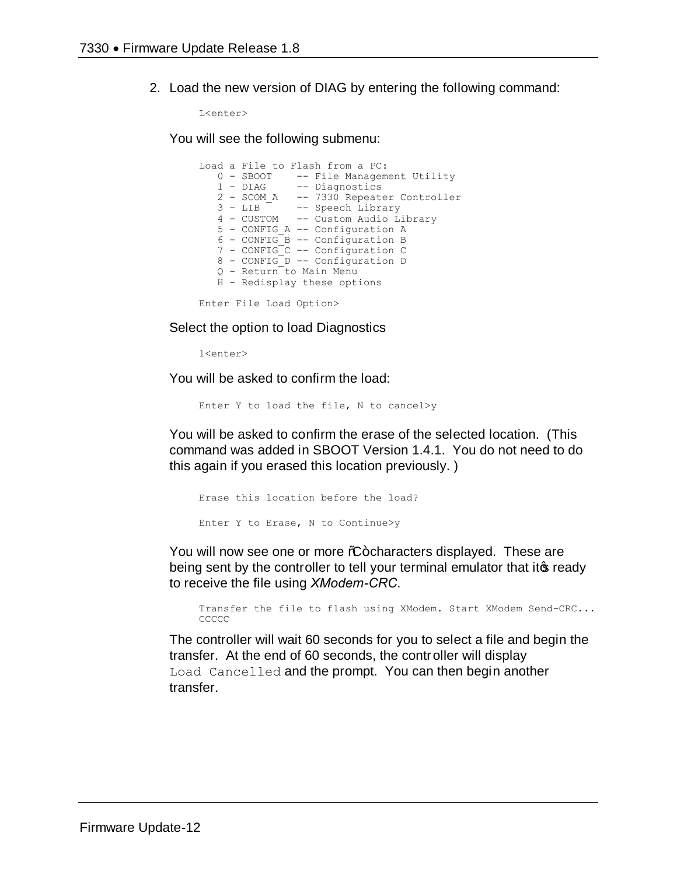2. Load the new version of DIAG by entering the following command:

L<enter>

You will see the following submenu:

```
Load a File to Flash from a PC:
0 - SBOOT -- File Management Utility
 1 - DIAG -- Diagnostics
 2 - SCOM_A -- 7330 Repeater Controller
 3 - LIB -- Speech Library
   4 - CUSTOM -- Custom Audio Library
   5 - CONFIG_A -- Configuration A
 6 - CONFIG_B -- Configuration B
 7 - CONFIG_C -- Configuration C
 8 - CONFIG_D -- Configuration D
   Q - Return to Main Menu
   H - Redisplay these options
Enter File Load Option>
```
Select the option to load Diagnostics

1<enter>

You will be asked to confirm the load:

Enter Y to load the file, N to cancel>y

You will be asked to confirm the erase of the selected location. (This command was added in SBOOT Version 1.4.1. You do not need to do this again if you erased this location previously. )

Erase this location before the load? Enter Y to Erase, N to Continue>y

You will now see one or more %-characters displayed. These are being sent by the controller to tell your terminal emulator that its ready to receive the file using *XModem-CRC*.

Transfer the file to flash using XModem. Start XModem Send-CRC... **CCCCC** 

The controller will wait 60 seconds for you to select a file and begin the transfer. At the end of 60 seconds, the controller will display Load Cancelled and the prompt. You can then begin another transfer.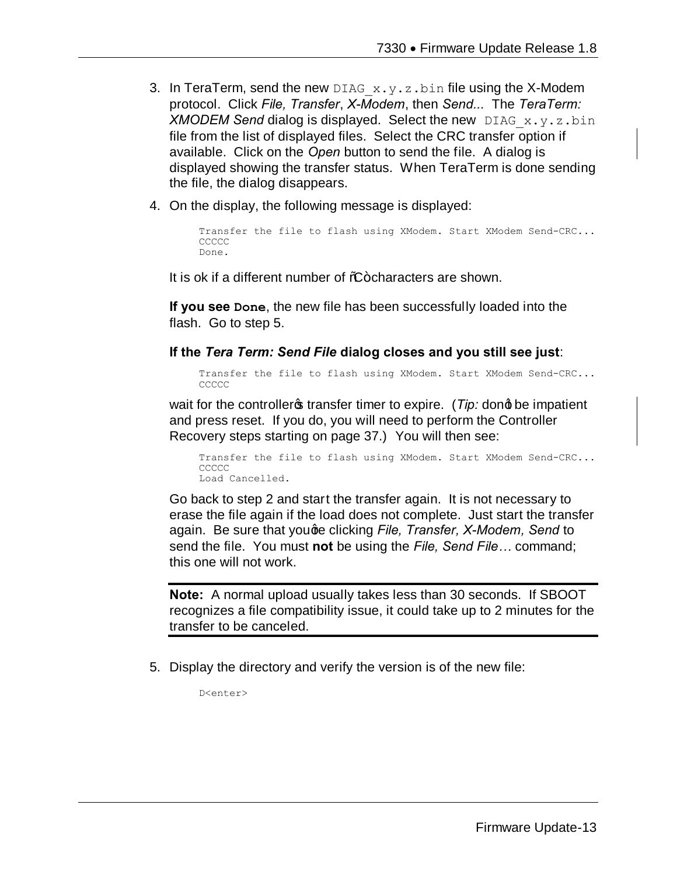- 3. In TeraTerm, send the new DIAG  $x,y,z,b$ in file using the X-Modem protocol. Click *File, Transfer*, *X-Modem*, then *Send...* The *TeraTerm: XMODEM Send* dialog is displayed. Select the new DIAG\_x.y.z.bin file from the list of displayed files. Select the CRC transfer option if available. Click on the *Open* button to send the file. A dialog is displayed showing the transfer status. When TeraTerm is done sending the file, the dialog disappears.
- 4. On the display, the following message is displayed:

```
Transfer the file to flash using XModem. Start XModem Send-CRC...
CCCCC
Done.
```
It is ok if a different number of  $C$ -characters are shown.

**If you see Done**, the new file has been successfully loaded into the flash. Go to step 5.

#### **If the** *Tera Term: Send File* **dialog closes and you still see just**:

Transfer the file to flash using XModem. Start XModem Send-CRC... **CCCCC** 

wait for the controller<sub>s</sub> transfer timer to expire. (*Tip:* dong be impatient and press reset. If you do, you will need to perform the Controller Recovery steps starting on page 37.) You will then see:

Transfer the file to flash using XModem. Start XModem Send-CRC... CCCCC Load Cancelled.

Go back to step 2 and start the transfer again. It is not necessary to erase the file again if the load does not complete. Just start the transfer again. Be sure that youge clicking *File, Transfer, X-Modem, Send* to send the file. You must **not** be using the *File, Send File…* command; this one will not work.

**Note:** A normal upload usually takes less than 30 seconds. If SBOOT recognizes a file compatibility issue, it could take up to 2 minutes for the transfer to be canceled.

5. Display the directory and verify the version is of the new file:

D<enter>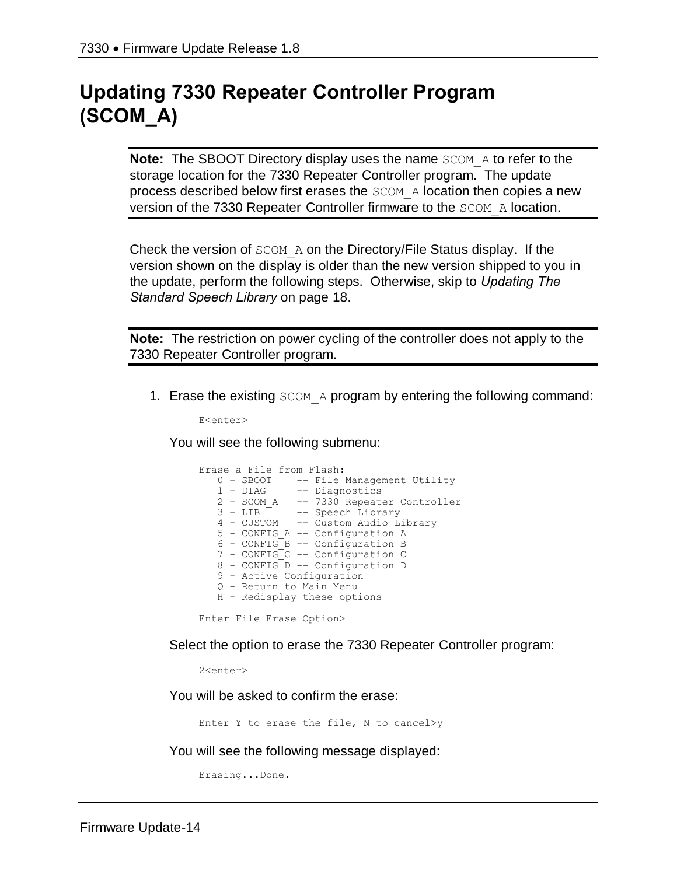# **Updating 7330 Repeater Controller Program (SCOM\_A)**

**Note:** The SBOOT Directory display uses the name SCOM A to refer to the storage location for the 7330 Repeater Controller program. The update process described below first erases the SCOM\_A location then copies a new version of the 7330 Repeater Controller firmware to the SCOM\_A location.

Check the version of SCOM\_A on the Directory/File Status display. If the version shown on the display is older than the new version shipped to you in the update, perform the following steps. Otherwise, skip to *Updating The Standard Speech Library* on page 18.

**Note:** The restriction on power cycling of the controller does not apply to the 7330 Repeater Controller program.

1. Erase the existing SCOM\_A program by entering the following command:

E<enter>

You will see the following submenu:

```
Erase a File from Flash:
  0 - SBOOT -- File Management Utility
 1 – DIAG -- Diagnostics
 2 – SCOM_A -- 7330 Repeater Controller
 3 – LIB -- Speech Library
   4 - CUSTOM -- Custom Audio Library
   5 - CONFIG_A -- Configuration A
   6 - CONFIG_B -- Configuration B
 7 - CONFIG_C -- Configuration C
 8 - CONFIG_D -- Configuration D
   9 - Active Configuration
   Q - Return to Main Menu
   H - Redisplay these options
Enter File Erase Option>
```
Select the option to erase the 7330 Repeater Controller program:

2<enter>

You will be asked to confirm the erase:

Enter Y to erase the file, N to cancel>y

You will see the following message displayed:

Erasing...Done.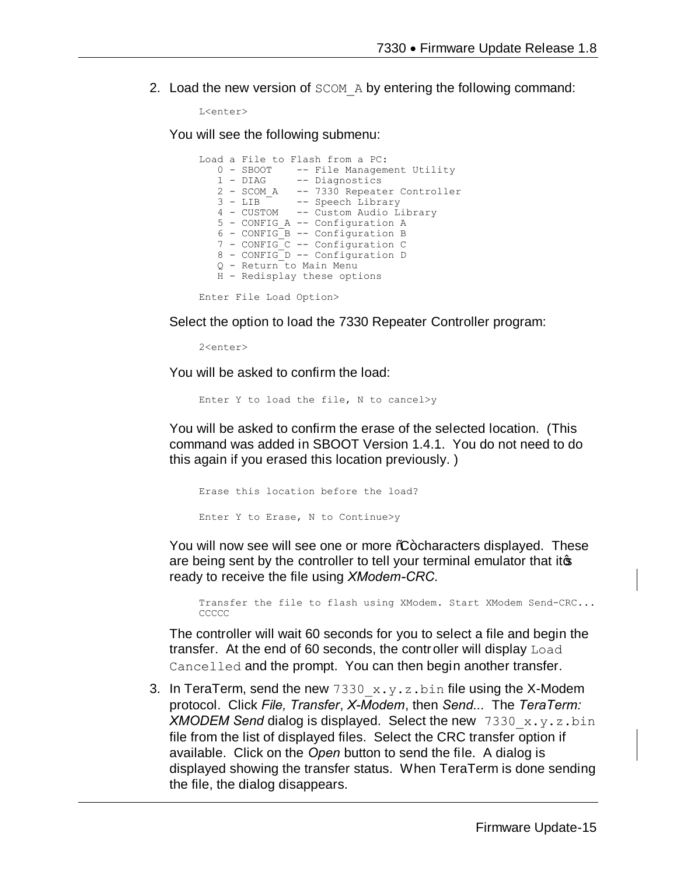2. Load the new version of SCOM A by entering the following command:

```
L<enter>
```
You will see the following submenu:

```
Load a File to Flash from a PC:
0 - SBOOT -- File Management Utility
 1 - DIAG -- Diagnostics
 2 - SCOM_A -- 7330 Repeater Controller
 3 - LIB -- Speech Library
   4 - CUSTOM -- Custom Audio Library
   5 - CONFIG_A -- Configuration A
 6 - CONFIG_B -- Configuration B
 7 - CONFIG_C -- Configuration C
 8 - CONFIG_D -- Configuration D
   Q - Return to Main Menu
   H - Redisplay these options
```
Enter File Load Option>

Select the option to load the 7330 Repeater Controller program:

2<enter>

You will be asked to confirm the load:

Enter Y to load the file, N to cancel>y

You will be asked to confirm the erase of the selected location. (This command was added in SBOOT Version 1.4.1. You do not need to do this again if you erased this location previously. )

```
Erase this location before the load?
Enter Y to Erase, N to Continue>y
```
You will now see will see one or more %+ characters displayed. These are being sent by the controller to tell your terminal emulator that its ready to receive the file using *XModem-CRC*.

Transfer the file to flash using XModem. Start XModem Send-CRC... **CCCCC** 

The controller will wait 60 seconds for you to select a file and begin the transfer. At the end of 60 seconds, the controller will display Load Cancelled and the prompt. You can then begin another transfer.

3. In TeraTerm, send the new  $7330x,y,z,bin$  file using the X-Modem protocol. Click *File, Transfer*, *X-Modem*, then *Send...* The *TeraTerm: XMODEM Send* dialog is displayed. Select the new 7330 x.y.z.bin file from the list of displayed files. Select the CRC transfer option if available. Click on the *Open* button to send the file. A dialog is displayed showing the transfer status. When TeraTerm is done sending the file, the dialog disappears.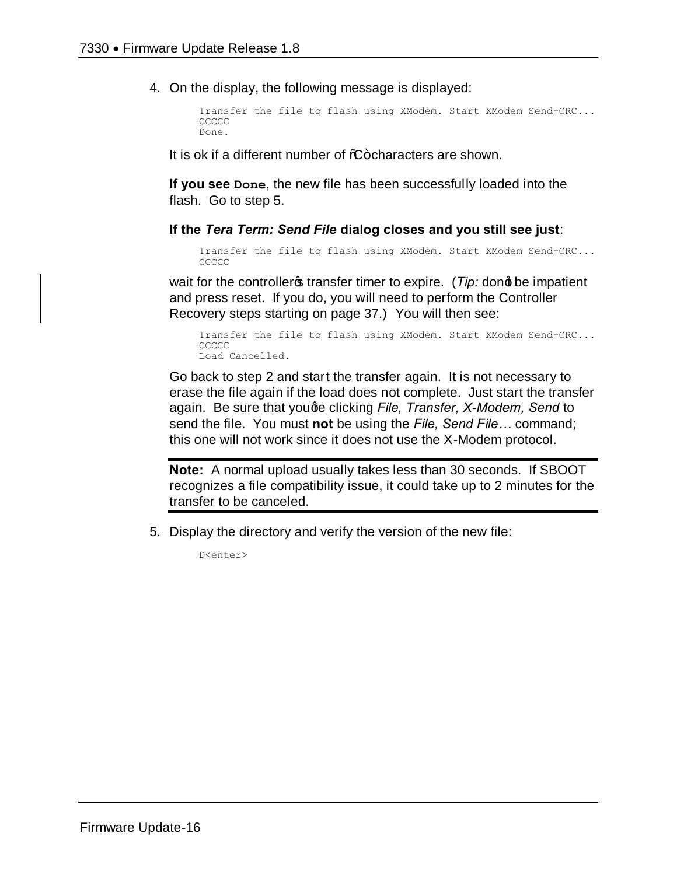4. On the display, the following message is displayed:

```
Transfer the file to flash using XModem. Start XModem Send-CRC...
CCCCC
Done.
```
It is ok if a different number of  $%+$ characters are shown.

**If you see Done**, the new file has been successfully loaded into the flash. Go to step 5.

#### **If the** *Tera Term: Send File* **dialog closes and you still see just**:

```
Transfer the file to flash using XModem. Start XModem Send-CRC...
CCCCC
```
wait for the controller<sub>s</sub> transfer timer to expire. (*Tip:* dong be impatient and press reset. If you do, you will need to perform the Controller Recovery steps starting on page 37.) You will then see:

```
Transfer the file to flash using XModem. Start XModem Send-CRC...
CCCCC
Load Cancelled.
```
Go back to step 2 and start the transfer again. It is not necessary to erase the file again if the load does not complete. Just start the transfer again. Be sure that youge clicking *File, Transfer, X-Modem, Send* to send the file. You must **not** be using the *File, Send File…* command; this one will not work since it does not use the X-Modem protocol.

**Note:** A normal upload usually takes less than 30 seconds. If SBOOT recognizes a file compatibility issue, it could take up to 2 minutes for the transfer to be canceled.

5. Display the directory and verify the version of the new file:

D<enter>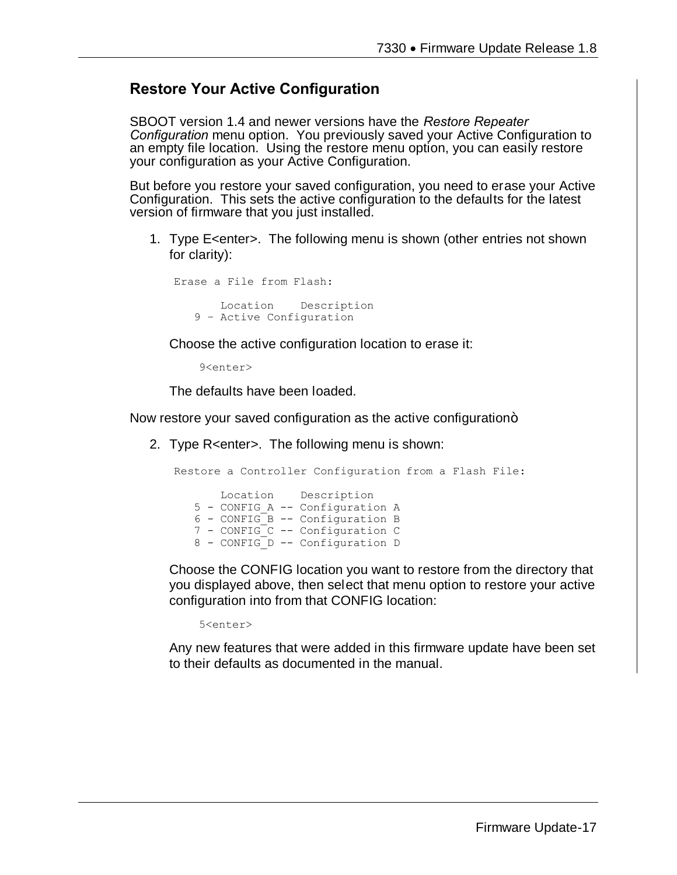#### **Restore Your Active Configuration**

SBOOT version 1.4 and newer versions have the *Restore Repeater Configuration* menu option. You previously saved your Active Configuration to an empty file location. Using the restore menu option, you can easily restore your configuration as your Active Configuration.

But before you restore your saved configuration, you need to erase your Active Configuration. This sets the active configuration to the defaults for the latest version of firmware that you just installed.

1. Type E<enter>. The following menu is shown (other entries not shown for clarity):

Erase a File from Flash: Location Description 9 – Active Configuration

Choose the active configuration location to erase it:

9<enter>

The defaults have been loaded.

Now restore your saved configuration as the active configuration+

2. Type R<enter>. The following menu is shown:

Restore a Controller Configuration from a Flash File: Location Description 5 - CONFIG\_A -- Configuration A 6 - CONFIG\_B -- Configuration B 7 - CONFIG C -- Configuration C 8 - CONFIG D -- Configuration D

Choose the CONFIG location you want to restore from the directory that you displayed above, then select that menu option to restore your active configuration into from that CONFIG location:

5<enter>

Any new features that were added in this firmware update have been set to their defaults as documented in the manual.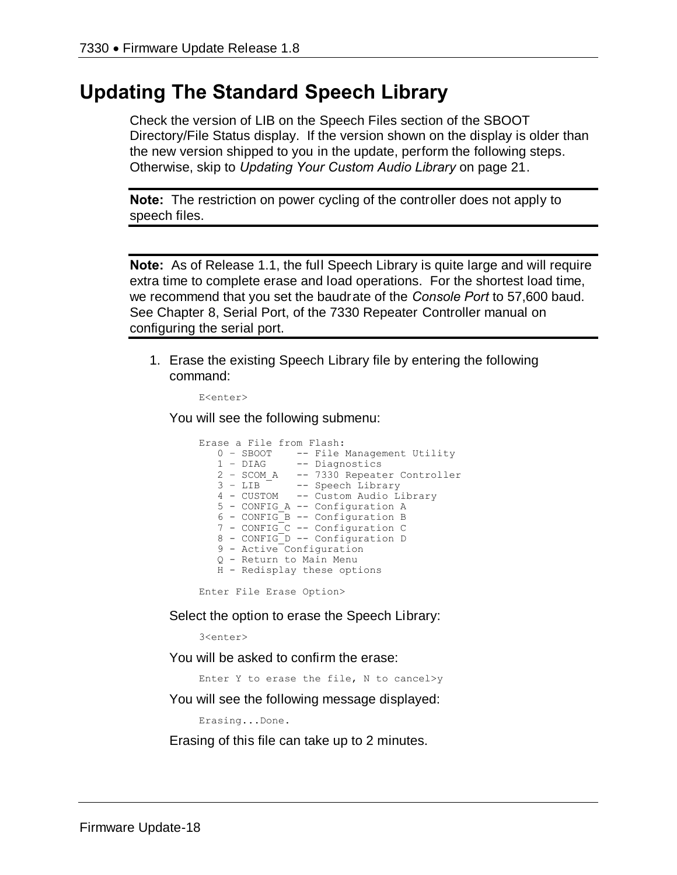## **Updating The Standard Speech Library**

Check the version of LIB on the Speech Files section of the SBOOT Directory/File Status display. If the version shown on the display is older than the new version shipped to you in the update, perform the following steps. Otherwise, skip to *Updating Your Custom Audio Library* on page 21.

**Note:** The restriction on power cycling of the controller does not apply to speech files.

**Note:** As of Release 1.1, the full Speech Library is quite large and will require extra time to complete erase and load operations. For the shortest load time, we recommend that you set the baudrate of the *Console Port* to 57,600 baud. See Chapter 8, Serial Port, of the 7330 Repeater Controller manual on configuring the serial port.

1. Erase the existing Speech Library file by entering the following command:

```
E<enter>
```
You will see the following submenu:

Erase a File from Flash: 0 - SBOOT -- File Management Utility<br>1 - DIAG -- Diagnostics -- Diagnostics 2 – SCOM\_A -- 7330 Repeater Controller 3 – LIB -- Speech Library 4 - CUSTOM -- Custom Audio Library 5 - CONFIG\_A -- Configuration A  $6$  - CONFIG B -- Configuration B 7 - CONFIG\_C -- Configuration C 8 - CONFIG\_D -- Configuration D 9 - Active Configuration Q - Return to Main Menu H - Redisplay these options

Enter File Erase Option>

Select the option to erase the Speech Library:

3<enter>

You will be asked to confirm the erase:

Enter Y to erase the file, N to cancel>y

You will see the following message displayed:

Erasing...Done.

Erasing of this file can take up to 2 minutes.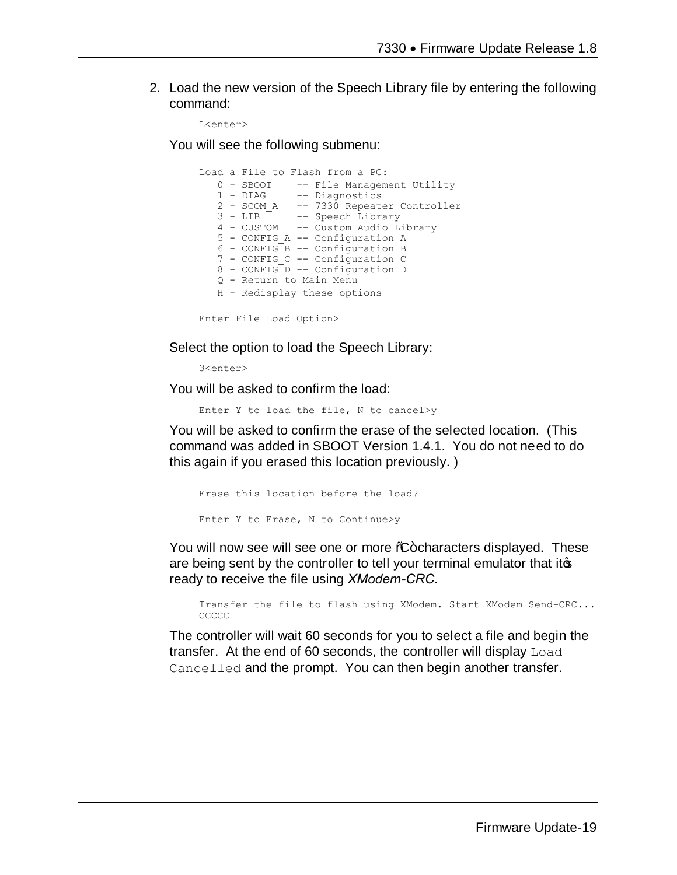2. Load the new version of the Speech Library file by entering the following command:

```
L<enter>
```
You will see the following submenu:

```
Load a File to Flash from a PC:
   0 - SBOOT -- File Management Utility<br>1 - DIAG -- Diagnostics
                  -- Diagnostics
   2 - SCOM_A -- 7330 Repeater Controller<br>3 - LIB -- Speech Library
   3 - \text{LIB} -- Speech Library<br>4 - CUSTOM -- Custom Audio L:
                  -- Custom Audio Library
    5 - CONFIG_A -- Configuration A
    6 - CONFIG_B -- Configuration B
    7 - CONFIG_C -- Configuration C
    8 - CONFIG_D -- Configuration D
   Q - Return to Main Menu
    H - Redisplay these options
```
Enter File Load Option>

Select the option to load the Speech Library:

3<enter>

You will be asked to confirm the load:

Enter Y to load the file, N to cancel>y

You will be asked to confirm the erase of the selected location. (This command was added in SBOOT Version 1.4.1. You do not need to do this again if you erased this location previously. )

```
Erase this location before the load?
Enter Y to Erase, N to Continue>y
```
You will now see will see one or more %-characters displayed. These are being sent by the controller to tell your terminal emulator that itos ready to receive the file using *XModem-CRC*.

Transfer the file to flash using XModem. Start XModem Send-CRC... **CCCCC** 

The controller will wait 60 seconds for you to select a file and begin the transfer. At the end of 60 seconds, the controller will display Load Cancelled and the prompt. You can then begin another transfer.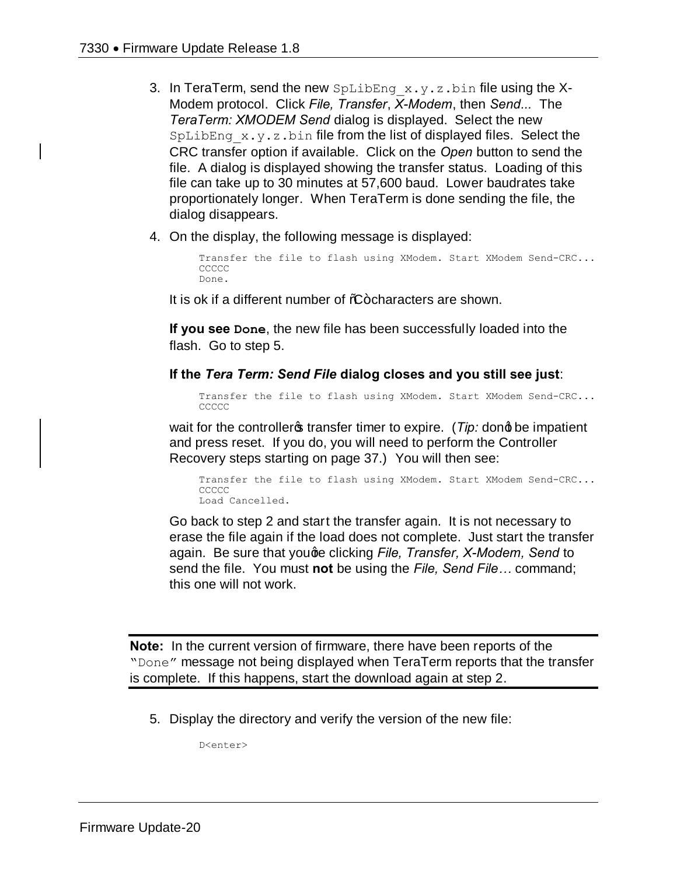- 3. In TeraTerm, send the new  $SpLibEng \times y.z.bin$  file using the X-Modem protocol. Click *File, Transfer*, *X-Modem*, then *Send...* The *TeraTerm: XMODEM Send* dialog is displayed. Select the new  $SpLibEng \times y. z. bin$  file from the list of displayed files. Select the CRC transfer option if available. Click on the *Open* button to send the file. A dialog is displayed showing the transfer status. Loading of this file can take up to 30 minutes at 57,600 baud. Lower baudrates take proportionately longer. When TeraTerm is done sending the file, the dialog disappears.
- 4. On the display, the following message is displayed:

Transfer the file to flash using XModem. Start XModem Send-CRC... **CCCCC** Done.

It is ok if a different number of %-characters are shown.

**If you see Done**, the new file has been successfully loaded into the flash. Go to step 5.

**If the** *Tera Term: Send File* **dialog closes and you still see just**:

Transfer the file to flash using XModem. Start XModem Send-CRC... CCCCC

wait for the controller<sub>®</sub> transfer timer to expire. (*Tip:* dong be impatient and press reset. If you do, you will need to perform the Controller Recovery steps starting on page 37.) You will then see:

```
Transfer the file to flash using XModem. Start XModem Send-CRC...
CCCCC
Load Cancelled.
```
Go back to step 2 and start the transfer again. It is not necessary to erase the file again if the load does not complete. Just start the transfer again. Be sure that youge clicking *File, Transfer, X-Modem, Send* to send the file. You must **not** be using the *File, Send File…* command; this one will not work.

**Note:** In the current version of firmware, there have been reports of the "Done" message not being displayed when TeraTerm reports that the transfer is complete. If this happens, start the download again at step 2.

5. Display the directory and verify the version of the new file:

D<enter>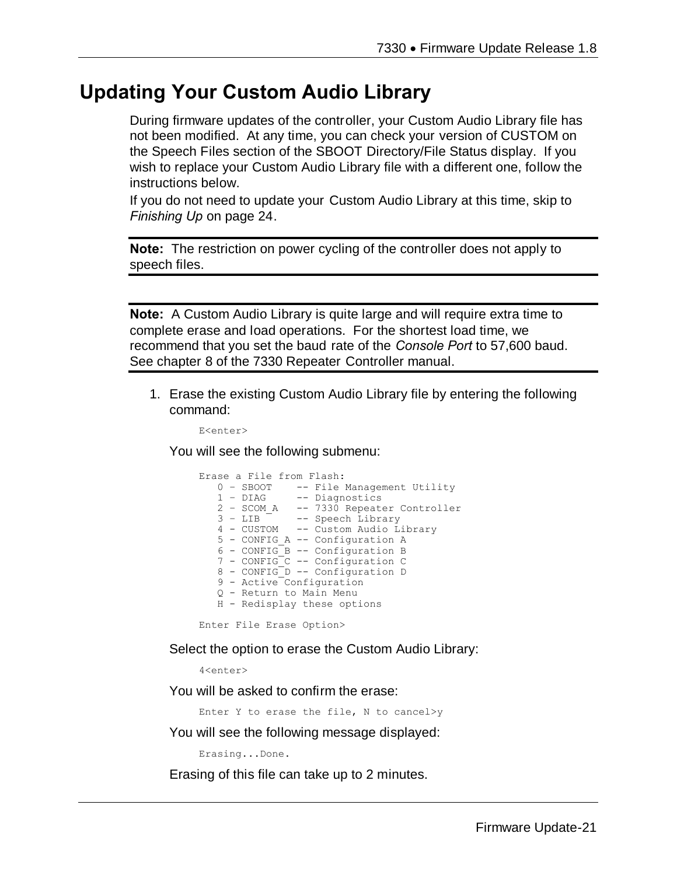## **Updating Your Custom Audio Library**

During firmware updates of the controller, your Custom Audio Library file has not been modified. At any time, you can check your version of CUSTOM on the Speech Files section of the SBOOT Directory/File Status display. If you wish to replace your Custom Audio Library file with a different one, follow the instructions below.

If you do not need to update your Custom Audio Library at this time, skip to *Finishing Up* on page 24.

**Note:** The restriction on power cycling of the controller does not apply to speech files.

**Note:** A Custom Audio Library is quite large and will require extra time to complete erase and load operations. For the shortest load time, we recommend that you set the baud rate of the *Console Port* to 57,600 baud. See chapter 8 of the 7330 Repeater Controller manual.

1. Erase the existing Custom Audio Library file by entering the following command:

E<enter>

You will see the following submenu:

```
Erase a File from Flash:
0 - SBOOT -- File Management Utility
 1 – DIAG -- Diagnostics
   2 - \text{SCOM}_A -- 7330 Repeater Controller<br>3 - LIB -- Speech Library
                -- Speech Library
    4 - CUSTOM -- Custom Audio Library
    5 - CONFIG_A -- Configuration A
    6 - CONFIG_B -- Configuration B
    7 - CONFIG_C -- Configuration C
 8 - CONFIG_D -- Configuration D
 9 - Active Configuration
    Q - Return to Main Menu
    H - Redisplay these options
```
Enter File Erase Option>

Select the option to erase the Custom Audio Library:

4<enter>

You will be asked to confirm the erase:

Enter Y to erase the file, N to cancel>y

You will see the following message displayed:

Erasing...Done.

Erasing of this file can take up to 2 minutes.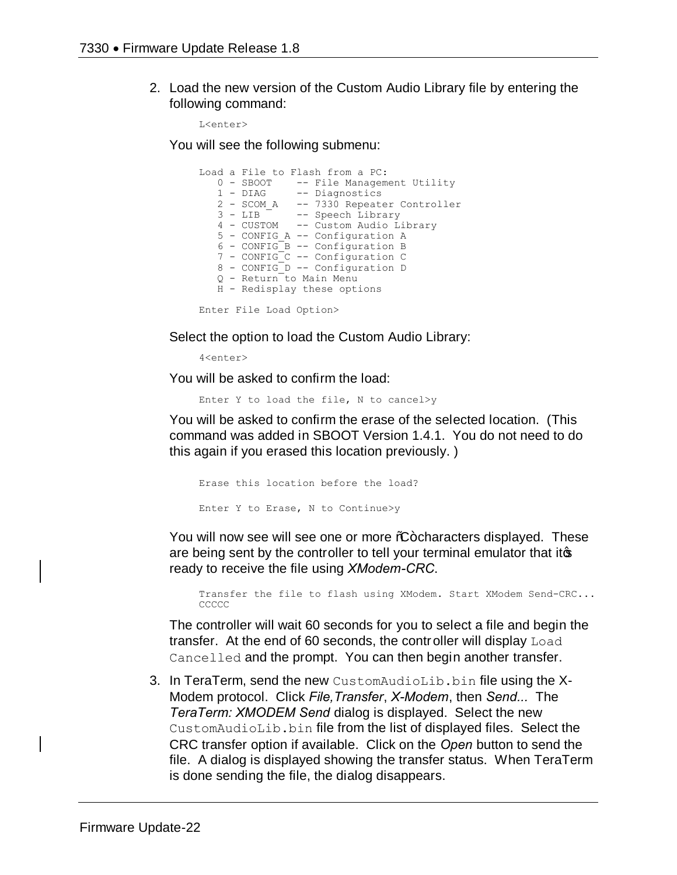2. Load the new version of the Custom Audio Library file by entering the following command:

L<enter>

You will see the following submenu:

```
Load a File to Flash from a PC:
0 - SBOOT -- File Management Utility
 1 - DIAG -- Diagnostics
 2 - SCOM_A -- 7330 Repeater Controller
 3 - LIB -- Speech Library
   4 - CUSTOM -- Custom Audio Library
   5 - CONFIG_A -- Configuration A
   6 - CONFIG_B -- Configuration B
 7 - CONFIG_C -- Configuration C
 8 - CONFIG_D -- Configuration D
   Q - Return to Main Menu
   H - Redisplay these options
```
Enter File Load Option>

Select the option to load the Custom Audio Library:

4<enter>

You will be asked to confirm the load:

Enter Y to load the file, N to cancel>y

You will be asked to confirm the erase of the selected location. (This command was added in SBOOT Version 1.4.1. You do not need to do this again if you erased this location previously. )

```
Erase this location before the load?
Enter Y to Erase, N to Continue>y
```
You will now see will see one or more %-characters displayed. These are being sent by the controller to tell your terminal emulator that itos ready to receive the file using *XModem-CRC*.

Transfer the file to flash using XModem. Start XModem Send-CRC... CCCCC.

The controller will wait 60 seconds for you to select a file and begin the transfer. At the end of 60 seconds, the controller will display Load Cancelled and the prompt. You can then begin another transfer.

3. In TeraTerm, send the new CustomAudioLib.bin file using the X-Modem protocol. Click *File,Transfer*, *X-Modem*, then *Send...* The *TeraTerm: XMODEM Send* dialog is displayed. Select the new CustomAudioLib.bin file from the list of displayed files. Select the CRC transfer option if available. Click on the *Open* button to send the file. A dialog is displayed showing the transfer status. When TeraTerm is done sending the file, the dialog disappears.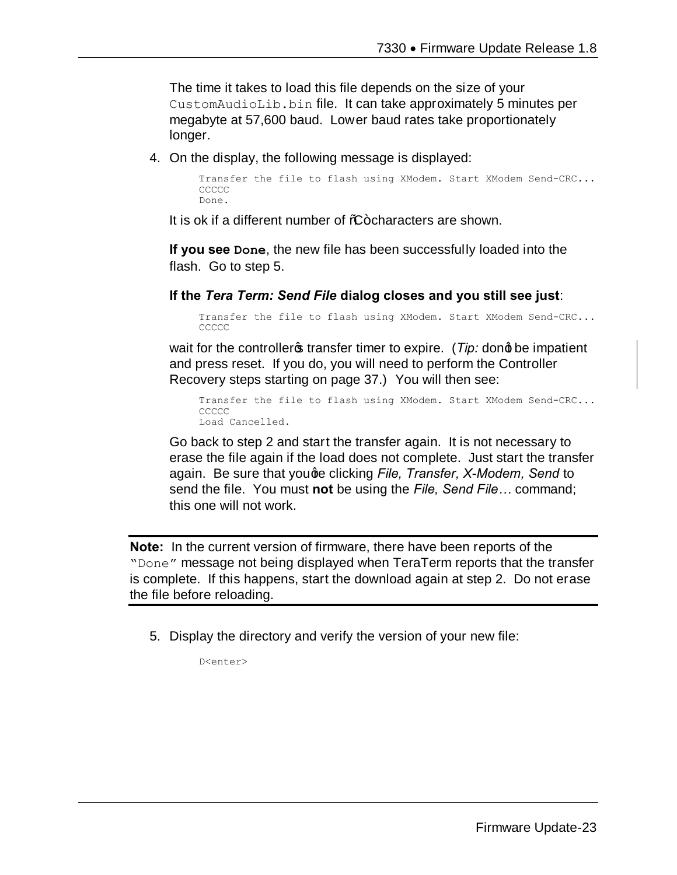The time it takes to load this file depends on the size of your CustomAudioLib.bin file. It can take approximately 5 minutes per megabyte at 57,600 baud. Lower baud rates take proportionately longer.

4. On the display, the following message is displayed:

```
Transfer the file to flash using XModem. Start XModem Send-CRC...
CCCCC
Done.
```
It is ok if a different number of %-characters are shown.

**If you see Done**, the new file has been successfully loaded into the flash. Go to step 5.

**If the** *Tera Term: Send File* **dialog closes and you still see just**:

Transfer the file to flash using XModem. Start XModem Send-CRC... **CCCCC** 

wait for the controller<sub>s</sub> transfer timer to expire. (*Tip:* dong be impatient and press reset. If you do, you will need to perform the Controller Recovery steps starting on page 37.) You will then see:

Transfer the file to flash using XModem. Start XModem Send-CRC... CCCCC Load Cancelled.

Go back to step 2 and start the transfer again. It is not necessary to erase the file again if the load does not complete. Just start the transfer again. Be sure that youge clicking *File, Transfer, X-Modem, Send* to send the file. You must **not** be using the *File, Send File…* command; this one will not work.

**Note:** In the current version of firmware, there have been reports of the "Done" message not being displayed when TeraTerm reports that the transfer is complete. If this happens, start the download again at step 2. Do not erase the file before reloading.

5. Display the directory and verify the version of your new file:

D<enter>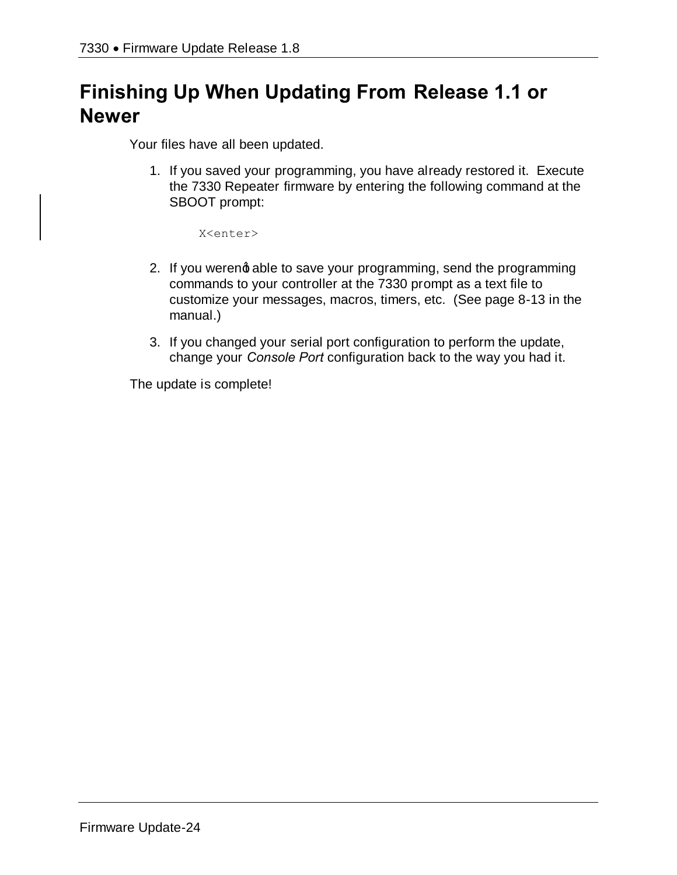# **Finishing Up When Updating From Release 1.1 or Newer**

Your files have all been updated.

1. If you saved your programming, you have already restored it. Execute the 7330 Repeater firmware by entering the following command at the SBOOT prompt:

X<enter>

- 2. If you werend able to save your programming, send the programming commands to your controller at the 7330 prompt as a text file to customize your messages, macros, timers, etc. (See page 8-13 in the manual.)
- 3. If you changed your serial port configuration to perform the update, change your *Console Port* configuration back to the way you had it.

The update is complete!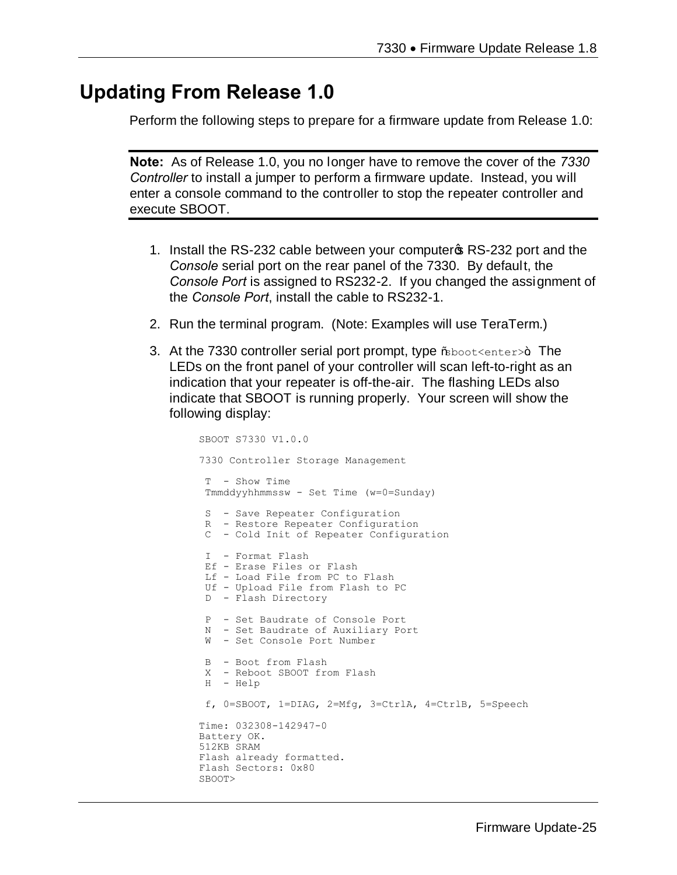## **Updating From Release 1.0**

Perform the following steps to prepare for a firmware update from Release 1.0:

**Note:** As of Release 1.0, you no longer have to remove the cover of the *7330 Controller* to install a jumper to perform a firmware update. Instead, you will enter a console command to the controller to stop the repeater controller and execute SBOOT.

- 1. Install the RS-232 cable between your computer **S** RS-232 port and the *Console* serial port on the rear panel of the 7330. By default, the *Console Port* is assigned to RS232-2. If you changed the assignment of the *Console Port*, install the cable to RS232-1.
- 2. Run the terminal program. (Note: Examples will use TeraTerm.)
- 3. At the 7330 controller serial port prompt, type  $\%$ boot $\leq$ enter $>$ +. The LEDs on the front panel of your controller will scan left-to-right as an indication that your repeater is off-the-air. The flashing LEDs also indicate that SBOOT is running properly. Your screen will show the following display:

```
SBOOT S7330 V1.0.0
7330 Controller Storage Management
T - Show Time
Tmmddyyhhmmssw - Set Time (w=0=Sunday)
S - Save Repeater Configuration
R - Restore Repeater Configuration
 C - Cold Init of Repeater Configuration
I - Format Flash
Ef - Erase Files or Flash
Lf - Load File from PC to Flash
Uf - Upload File from Flash to PC
D - Flash Directory
P - Set Baudrate of Console Port
N - Set Baudrate of Auxiliary Port
W - Set Console Port Number
B - Boot from Flash
X - Reboot SBOOT from Flash
H - Help
f, 0=SBOOT, 1=DIAG, 2=Mfg, 3=CtrlA, 4=CtrlB, 5=Speech
Time: 032308-142947-0
Battery OK.
512KB SRAM
Flash already formatted.
Flash Sectors: 0x80
SBOOT>
```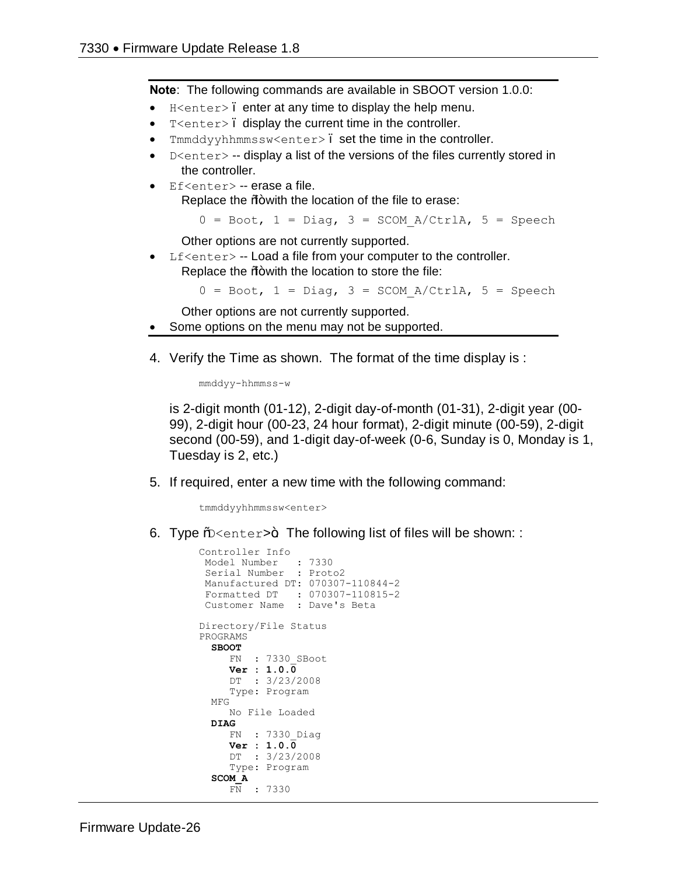**Note**: The following commands are available in SBOOT version 1.0.0:

- $H$ <enter>. enter at any time to display the help menu.
- T<enter>. display the current time in the controller.
- Tmmddyyhhmmssw<enter>. set the time in the controller.
- $D \leq h$  -- display a list of the versions of the files currently stored in the controller.
- · Ef<enter> -- erase a file. Replace the %+ with the location of the file to erase:

 $0 = \text{Boot}$ ,  $1 = \text{Diag}$ ,  $3 = \text{SCOM}$   $A/CtrlA$ ,  $5 = \text{Speech}$ 

Other options are not currently supported.

Lf<enter> -- Load a file from your computer to the controller. Replace the  $%$  with the location to store the file:

 $0 = \text{Boot}$ ,  $1 = \text{Diag}$ ,  $3 = \text{SCOM}$   $A/CtrlA$ ,  $5 = \text{Speech}$ 

Other options are not currently supported.

- Some options on the menu may not be supported.
- 4. Verify the Time as shown. The format of the time display is :

mmddyy-hhmmss-w

is 2-digit month (01-12), 2-digit day-of-month (01-31), 2-digit year (00- 99), 2-digit hour (00-23, 24 hour format), 2-digit minute (00-59), 2-digit second (00-59), and 1-digit day-of-week (0-6, Sunday is 0, Monday is 1, Tuesday is 2, etc.)

5. If required, enter a new time with the following command:

tmmddyyhhmmssw<enter>

6. Type %  $\epsilon$  enter>+ The following list of files will be shown: :

```
Controller Info
 Model Number : 7330
 Serial Number : Proto2
Manufactured DT: 070307-110844-2
 Formatted DT : 070307-110815-2
 Customer Name : Dave's Beta
Directory/File Status
PROGRAMS
  SBOOT
      FN : 7330_SBoot
      Ver : 1.0.0
     DT : 3/23/2008
     Type: Program
  MFG
     No File Loaded
  DIAG
      FN : 7330_Diag
      Ver : 1.0.0
      DT : 3/23/2008
      Type: Program
   SCOM_A
     FN : 7330
```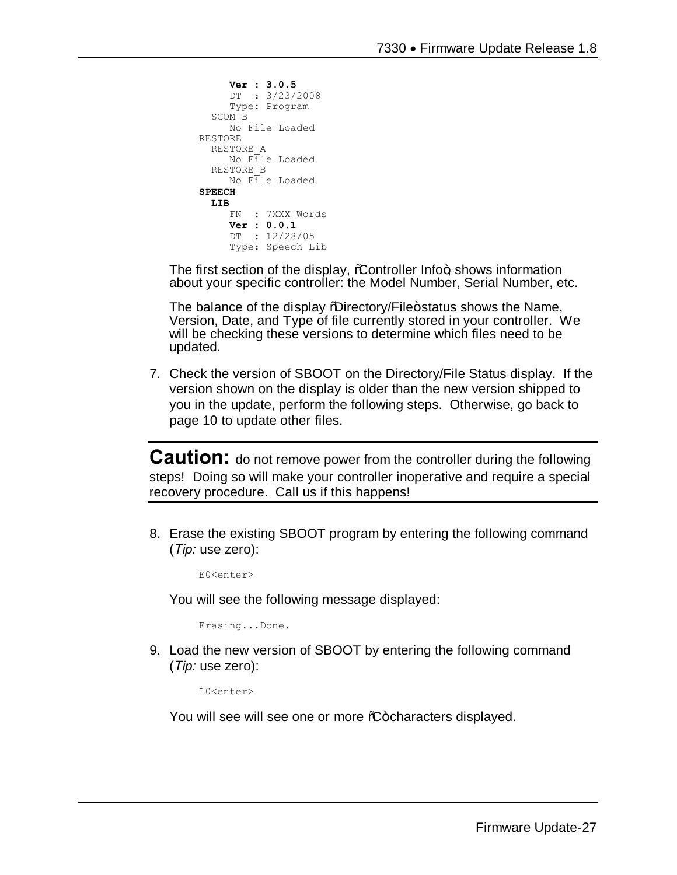```
 Ver : 3.0.5
      DT : 3/23/2008
      Type: Program
   SCOM_B
     No File Loaded
RESTORE
  RESTORE_A
     No File Loaded
   RESTORE_B
      No File Loaded
SPEECH
   LIB
     FN : 7XXX Words
      Ver : 0.0.1
      DT : 12/28/05
      Type: Speech Lib
```
The first section of the display,  $%$  controller Info $+$ , shows information about your specific controller: the Model Number, Serial Number, etc.

The balance of the display *N*uirectory/File+status shows the Name, Version, Date, and Type of file currently stored in your controller. We will be checking these versions to determine which files need to be updated.

7. Check the version of SBOOT on the Directory/File Status display. If the version shown on the display is older than the new version shipped to you in the update, perform the following steps. Otherwise, go back to page 10 to update other files.

**Caution:** do not remove power from the controller during the following steps! Doing so will make your controller inoperative and require a special recovery procedure. Call us if this happens!

8. Erase the existing SBOOT program by entering the following command (*Tip:* use zero):

E0<enter>

You will see the following message displayed:

Erasing...Done.

9. Load the new version of SBOOT by entering the following command (*Tip:* use zero):

L0<enter>

You will see will see one or more %-characters displayed.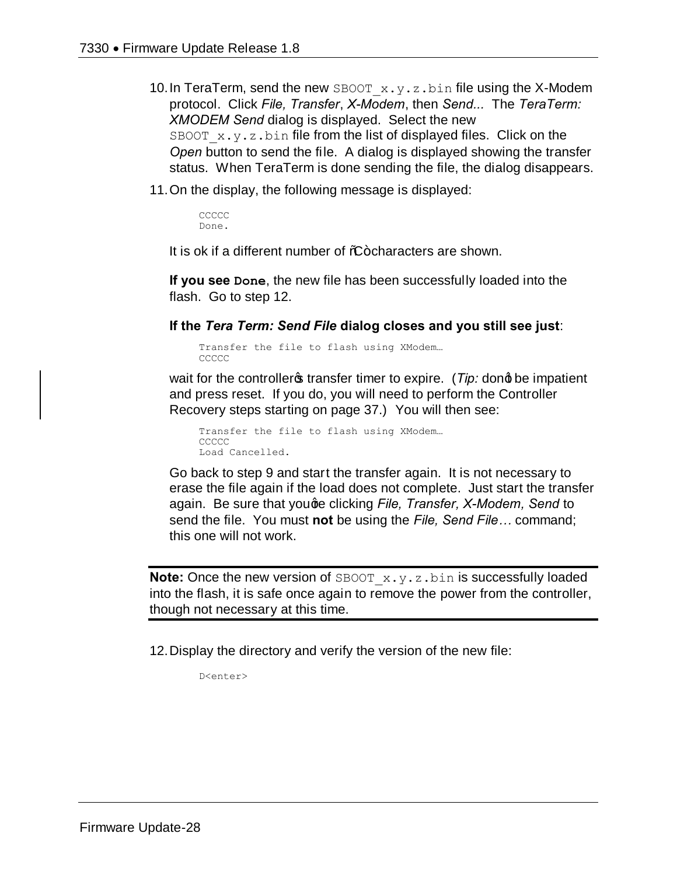- 10. In TeraTerm, send the new SBOOT  $x,y,z,b$ in file using the X-Modem protocol. Click *File, Transfer*, *X-Modem*, then *Send...* The *TeraTerm: XMODEM Send* dialog is displayed. Select the new SBOOT  $x.y.z.bin$  file from the list of displayed files. Click on the *Open* button to send the file. A dialog is displayed showing the transfer status. When TeraTerm is done sending the file, the dialog disappears.
- 11.On the display, the following message is displayed:

**CCCCC** Done.

It is ok if a different number of %-characters are shown.

**If you see Done**, the new file has been successfully loaded into the flash. Go to step 12.

**If the** *Tera Term: Send File* **dialog closes and you still see just**:

Transfer the file to flash using XModem… CCCCC

wait for the controller<sub>®</sub> transfer timer to expire. (*Tip:* dond be impatient and press reset. If you do, you will need to perform the Controller Recovery steps starting on page 37.) You will then see:

Transfer the file to flash using XModem… CCCCC Load Cancelled.

Go back to step 9 and start the transfer again. It is not necessary to erase the file again if the load does not complete. Just start the transfer again. Be sure that youge clicking *File, Transfer, X-Modem, Send* to send the file. You must **not** be using the *File, Send File…* command; this one will not work.

**Note:** Once the new version of SBOOT x.y.z.bin is successfully loaded into the flash, it is safe once again to remove the power from the controller, though not necessary at this time.

12.Display the directory and verify the version of the new file:

D<enter>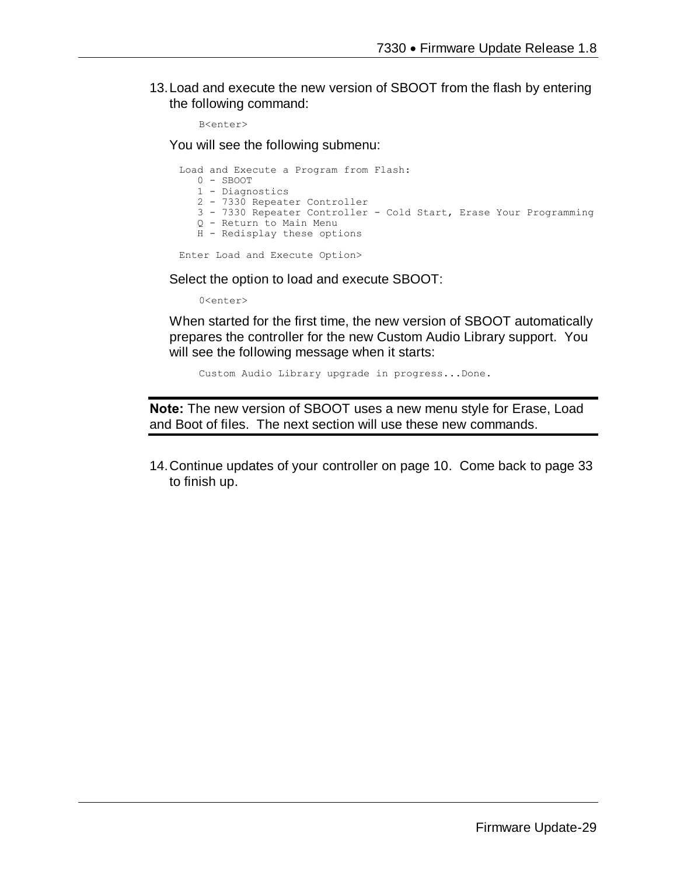13.Load and execute the new version of SBOOT from the flash by entering the following command:

B<enter>

You will see the following submenu:

Load and Execute a Program from Flash: 0 - SBOOT 1 - Diagnostics 2 - 7330 Repeater Controller 3 - 7330 Repeater Controller - Cold Start, Erase Your Programming Q - Return to Main Menu H - Redisplay these options Enter Load and Execute Option>

Select the option to load and execute SBOOT:

0<enter>

When started for the first time, the new version of SBOOT automatically prepares the controller for the new Custom Audio Library support. You will see the following message when it starts:

Custom Audio Library upgrade in progress...Done.

**Note:** The new version of SBOOT uses a new menu style for Erase, Load and Boot of files. The next section will use these new commands.

14.Continue updates of your controller on page 10. Come back to page 33 to finish up.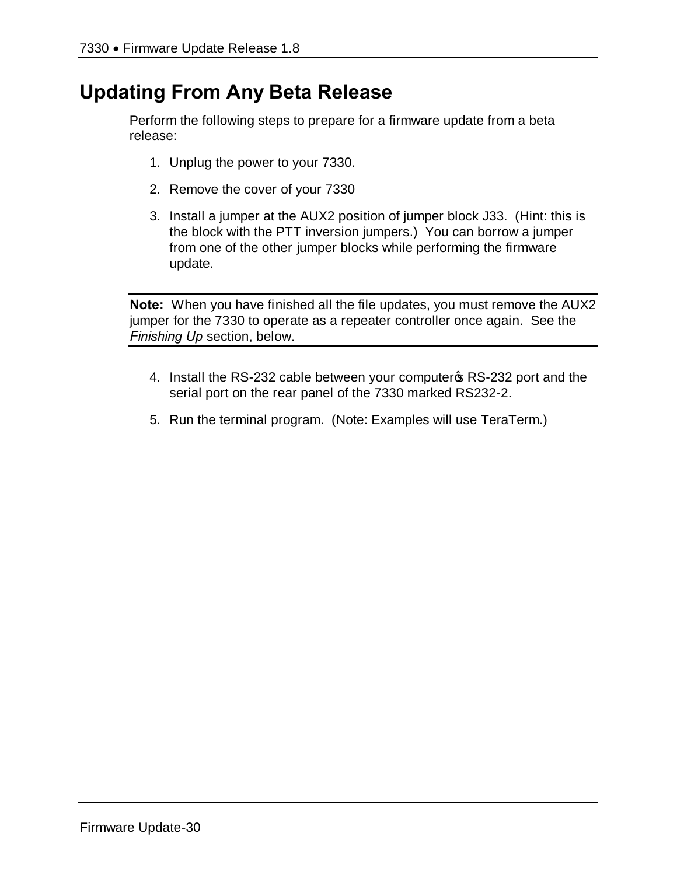# **Updating From Any Beta Release**

Perform the following steps to prepare for a firmware update from a beta release:

- 1. Unplug the power to your 7330.
- 2. Remove the cover of your 7330
- 3. Install a jumper at the AUX2 position of jumper block J33. (Hint: this is the block with the PTT inversion jumpers.) You can borrow a jumper from one of the other jumper blocks while performing the firmware update.

**Note:** When you have finished all the file updates, you must remove the AUX2 jumper for the 7330 to operate as a repeater controller once again. See the *Finishing Up* section, below.

- 4. Install the RS-232 cable between your computer & RS-232 port and the serial port on the rear panel of the 7330 marked RS232-2.
- 5. Run the terminal program. (Note: Examples will use TeraTerm.)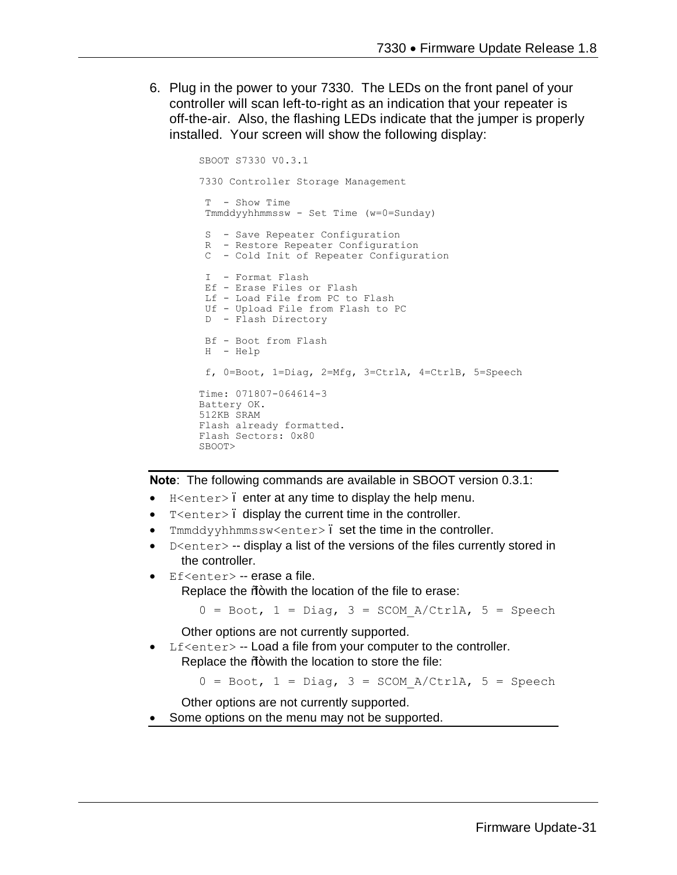6. Plug in the power to your 7330. The LEDs on the front panel of your controller will scan left-to-right as an indication that your repeater is off-the-air. Also, the flashing LEDs indicate that the jumper is properly installed. Your screen will show the following display:

```
SBOOT S7330 V0.3.1
7330 Controller Storage Management
T - Show Time
Tmmddyyhhmmssw - Set Time (w=0=Sunday)
S - Save Repeater Configuration
 R - Restore Repeater Configuration
 C - Cold Init of Repeater Configuration
I - Format Flash
Ef - Erase Files or Flash
 Lf - Load File from PC to Flash
 Uf - Upload File from Flash to PC
D - Flash Directory
Bf - Boot from Flash
H - Help
f, 0=Boot, 1=Diag, 2=Mfg, 3=CtrlA, 4=CtrlB, 5=Speech
Time: 071807-064614-3
Battery OK.
512KB SRAM
Flash already formatted.
Flash Sectors: 0x80
SBOOT>
```
**Note**: The following commands are available in SBOOT version 0.3.1:

- $H$  <enter>. enter at any time to display the help menu.
- T<enter>. display the current time in the controller.
- Tmmddyyhhmmssw<enter>. set the time in the controller.
- $D$ <enter> -- display a list of the versions of the files currently stored in the controller.
- Ef<enter> -- erase a file.

Replace the % with the location of the file to erase:

```
0 = \text{Boot}, 1 = \text{Diag}, 3 = \text{SCOM A/CtrlA}, 5 = \text{Speedch}
```
Other options are not currently supported.

Lf $\leq$ enter $>$  -- Load a file from your computer to the controller. Replace the  $%$  with the location to store the file:

 $0 = \text{foot}, 1 = \text{Diag}, 3 = \text{SCOM A/CtrlA}, 5 = \text{Speedch}$ 

Other options are not currently supported.

Some options on the menu may not be supported.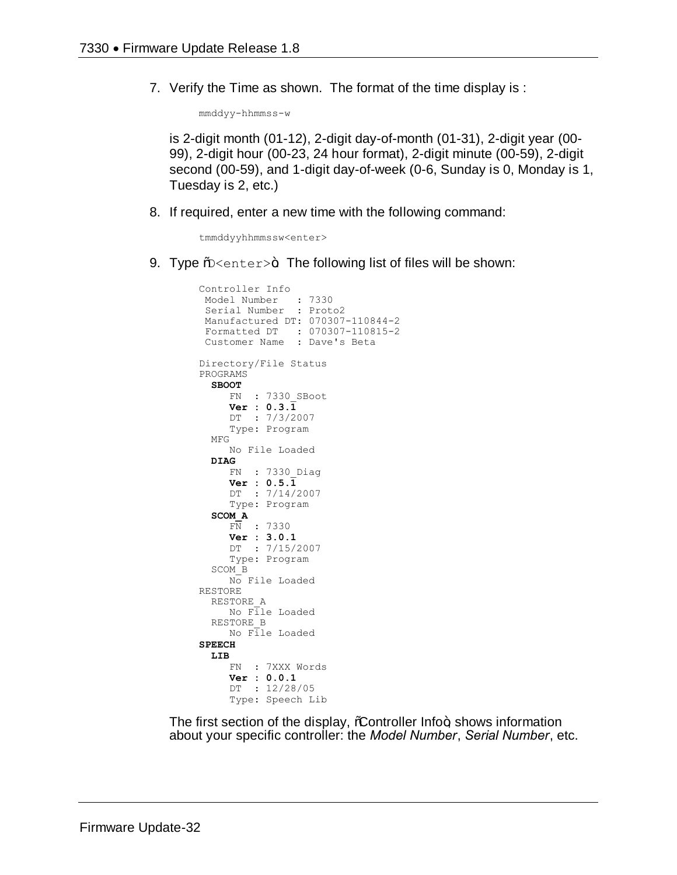7. Verify the Time as shown. The format of the time display is :

mmddyy-hhmmss-w

is 2-digit month (01-12), 2-digit day-of-month (01-31), 2-digit year (00- 99), 2-digit hour (00-23, 24 hour format), 2-digit minute (00-59), 2-digit second (00-59), and 1-digit day-of-week (0-6, Sunday is 0, Monday is 1, Tuesday is 2, etc.)

8. If required, enter a new time with the following command:

tmmddyyhhmmssw<enter>

9. Type  $\frac{1}{2}$  =  $\frac{1}{2}$ . The following list of files will be shown:

```
Controller Info
 Model Number : 7330
 Serial Number : Proto2
 Manufactured DT: 070307-110844-2
 Formatted DT : 070307-110815-2
 Customer Name : Dave's Beta
Directory/File Status
PROGRAMS
   SBOOT
      FN : 7330_SBoot
      Ver : 0.3.1
      DT : 7/3/2007
      Type: Program
   MFG
      No File Loaded
   DIAG
      FN : 7330_Diag
      Ver : 0.5.1
      DT : 7/14/2007
      Type: Program
   SCOM_A
      FN : 7330
      Ver : 3.0.1
      DT : 7/15/2007
      Type: Program
   SCOM_B
     No File Loaded
RESTORE
   RESTORE_A
      No File Loaded
   RESTORE_B
     No File Loaded
SPEECH
   LIB
      FN : 7XXX Words
      Ver : 0.0.1
      DT : 12/28/05
      Type: Speech Lib
```
The first section of the display, *C*ontroller Info+, shows information about your specific controller: the *Model Number*, *Serial Number*, etc.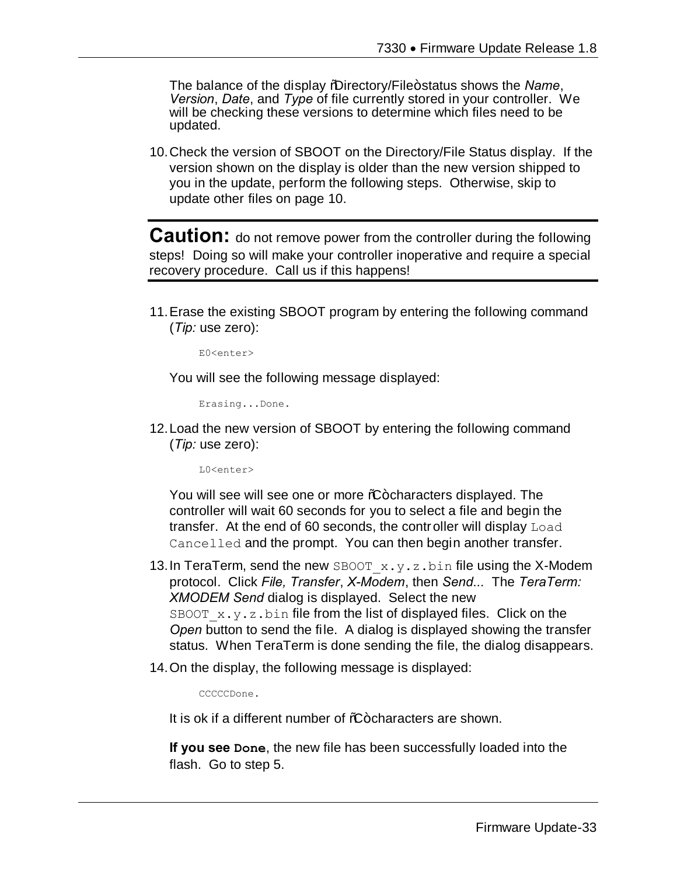The balance of the display *"*Directory/File+status shows the *Name*, *Version*, *Date*, and *Type* of file currently stored in your controller. We will be checking these versions to determine which files need to be updated.

10.Check the version of SBOOT on the Directory/File Status display. If the version shown on the display is older than the new version shipped to you in the update, perform the following steps. Otherwise, skip to update other files on page 10.

**Caution:** do not remove power from the controller during the following steps! Doing so will make your controller inoperative and require a special recovery procedure. Call us if this happens!

11.Erase the existing SBOOT program by entering the following command (*Tip:* use zero):

E0<enter>

You will see the following message displayed:

Erasing...Done.

12.Load the new version of SBOOT by entering the following command (*Tip:* use zero):

L0<enter>

You will see will see one or more %+ characters displayed. The controller will wait 60 seconds for you to select a file and begin the transfer. At the end of 60 seconds, the controller will display Load Cancelled and the prompt. You can then begin another transfer.

- 13. In TeraTerm, send the new SBOOT  $x,y,z,b$ in file using the X-Modem protocol. Click *File, Transfer*, *X-Modem*, then *Send...* The *TeraTerm: XMODEM Send* dialog is displayed. Select the new SBOOT  $x.y.z.bin$  file from the list of displayed files. Click on the *Open* button to send the file. A dialog is displayed showing the transfer status. When TeraTerm is done sending the file, the dialog disappears.
- 14.On the display, the following message is displayed:

CCCCCDone.

It is ok if a different number of %+characters are shown.

**If you see Done**, the new file has been successfully loaded into the flash. Go to step 5.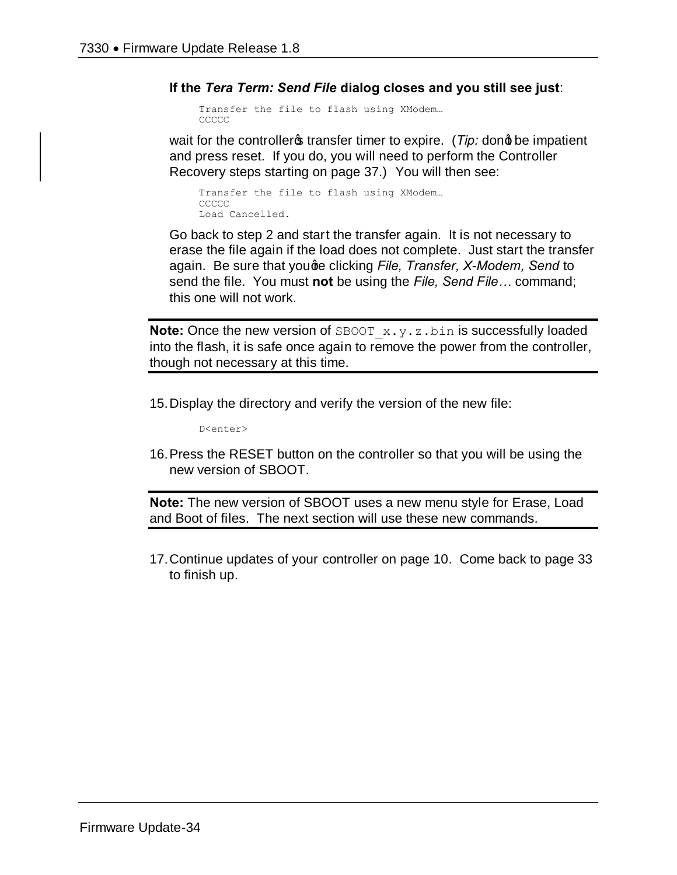**If the** *Tera Term: Send File* **dialog closes and you still see just**:

```
Transfer the file to flash using XModem…
CCCCC
```
wait for the controller<sub>s</sub> transfer timer to expire. (*Tip:* dong be impatient and press reset. If you do, you will need to perform the Controller Recovery steps starting on page 37.) You will then see:

```
Transfer the file to flash using XModem…
CCCCC
Load Cancelled.
```
Go back to step 2 and start the transfer again. It is not necessary to erase the file again if the load does not complete. Just start the transfer again. Be sure that youge clicking *File, Transfer, X-Modem, Send* to send the file. You must **not** be using the *File, Send File…* command; this one will not work.

**Note:** Once the new version of SBOOT x.y.z.bin is successfully loaded into the flash, it is safe once again to remove the power from the controller, though not necessary at this time.

15.Display the directory and verify the version of the new file:

D<enter>

16.Press the RESET button on the controller so that you will be using the new version of SBOOT.

**Note:** The new version of SBOOT uses a new menu style for Erase, Load and Boot of files. The next section will use these new commands.

17.Continue updates of your controller on page 10. Come back to page 33 to finish up.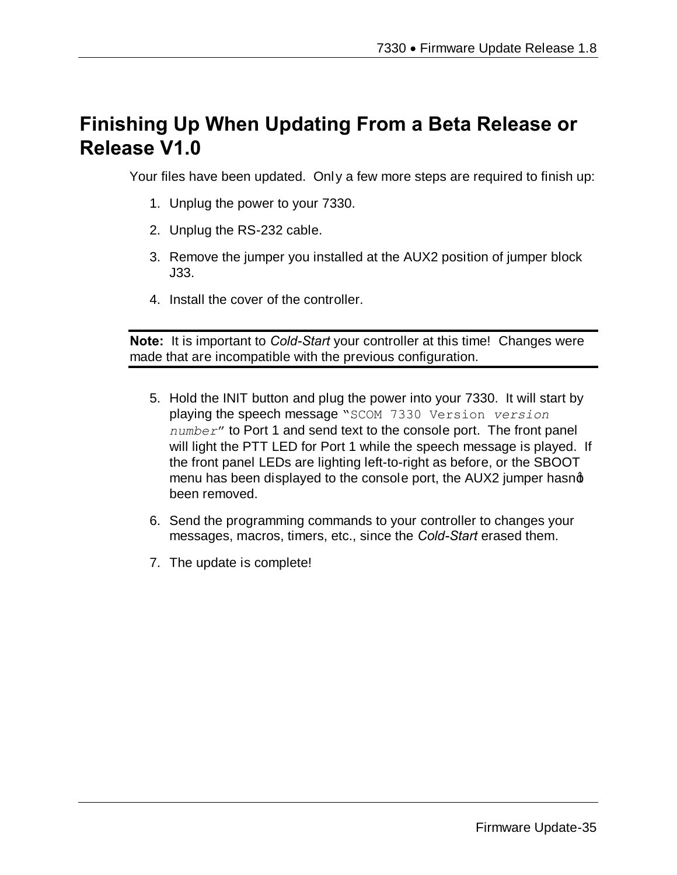# **Finishing Up When Updating From a Beta Release or Release V1.0**

Your files have been updated. Only a few more steps are required to finish up:

- 1. Unplug the power to your 7330.
- 2. Unplug the RS-232 cable.
- 3. Remove the jumper you installed at the AUX2 position of jumper block J33.
- 4. Install the cover of the controller.

**Note:** It is important to *Cold-Start* your controller at this time! Changes were made that are incompatible with the previous configuration.

- 5. Hold the INIT button and plug the power into your 7330. It will start by playing the speech message "SCOM 7330 Version *version number*" to Port 1 and send text to the console port. The front panel will light the PTT LED for Port 1 while the speech message is played. If the front panel LEDs are lighting left-to-right as before, or the SBOOT menu has been displayed to the console port, the AUX2 jumper hasnot been removed.
- 6. Send the programming commands to your controller to changes your messages, macros, timers, etc., since the *Cold-Start* erased them.
- 7. The update is complete!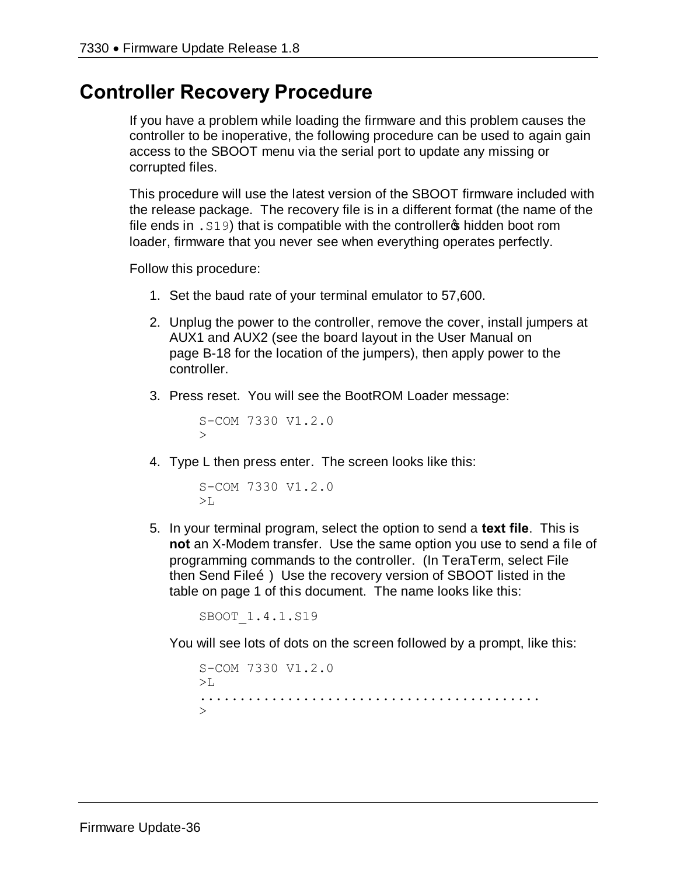## **Controller Recovery Procedure**

If you have a problem while loading the firmware and this problem causes the controller to be inoperative, the following procedure can be used to again gain access to the SBOOT menu via the serial port to update any missing or corrupted files.

This procedure will use the latest version of the SBOOT firmware included with the release package. The recovery file is in a different format (the name of the file ends in  $.519$ ) that is compatible with the controller  $\phi$  hidden boot rom loader, firmware that you never see when everything operates perfectly.

Follow this procedure:

- 1. Set the baud rate of your terminal emulator to 57,600.
- 2. Unplug the power to the controller, remove the cover, install jumpers at AUX1 and AUX2 (see the board layout in the User Manual on page B-18 for the location of the jumpers), then apply power to the controller.
- 3. Press reset. You will see the BootROM Loader message:

```
S-COM 7330 V1.2.0
\geq
```
4. Type L then press enter. The screen looks like this:

```
S-COM 7330 V1.2.0
>1.
```
5. In your terminal program, select the option to send a **text file**. This is **not** an X-Modem transfer. Use the same option you use to send a file of programming commands to the controller. (In TeraTerm, select File then Send Fileo.) Use the recovery version of SBOOT listed in the table on page 1 of this document. The name looks like this:

SBOOT\_1.4.1.S19

You will see lots of dots on the screen followed by a prompt, like this:

```
S-COM 7330 V1.2.0
>L-...........................................
\overline{\phantom{a}}
```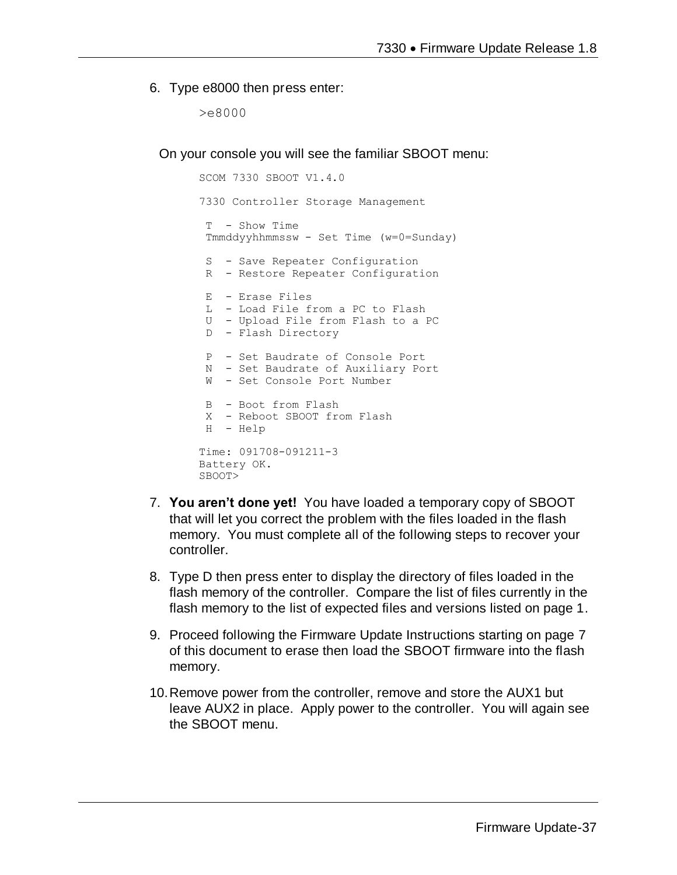#### 6. Type e8000 then press enter:

>e8000

On your console you will see the familiar SBOOT menu:

```
SCOM 7330 SBOOT V1.4.0
7330 Controller Storage Management
 T - Show Time 
 Tmmddyyhhmmssw - Set Time (w=0=Sunday)
 S - Save Repeater Configuration
 R - Restore Repeater Configuration
 E - Erase Files
 L - Load File from a PC to Flash
 U - Upload File from Flash to a PC
 D - Flash Directory
 P - Set Baudrate of Console Port
N - Set Baudrate of Auxiliary Port
W - Set Console Port Number
 B - Boot from Flash
X - Reboot SBOOT from Flash
H - Help
Time: 091708-091211-3
Battery OK.
SBOOT>
```
- 7. **You aren't done yet!** You have loaded a temporary copy of SBOOT that will let you correct the problem with the files loaded in the flash memory. You must complete all of the following steps to recover your controller.
- 8. Type D then press enter to display the directory of files loaded in the flash memory of the controller. Compare the list of files currently in the flash memory to the list of expected files and versions listed on page 1.
- 9. Proceed following the Firmware Update Instructions starting on page 7 of this document to erase then load the SBOOT firmware into the flash memory.
- 10.Remove power from the controller, remove and store the AUX1 but leave AUX2 in place. Apply power to the controller. You will again see the SBOOT menu.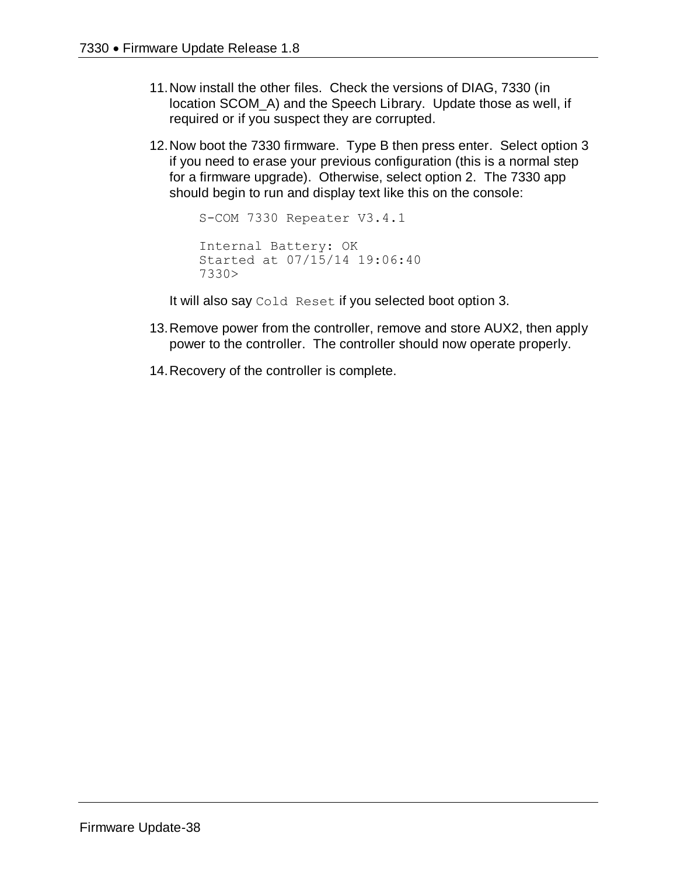- 11.Now install the other files. Check the versions of DIAG, 7330 (in location SCOM\_A) and the Speech Library. Update those as well, if required or if you suspect they are corrupted.
- 12.Now boot the 7330 firmware. Type B then press enter. Select option 3 if you need to erase your previous configuration (this is a normal step for a firmware upgrade). Otherwise, select option 2. The 7330 app should begin to run and display text like this on the console:

```
S-COM 7330 Repeater V3.4.1
Internal Battery: OK
Started at 07/15/14 19:06:40
7330>
```
It will also say Cold Reset if you selected boot option 3.

- 13.Remove power from the controller, remove and store AUX2, then apply power to the controller. The controller should now operate properly.
- 14.Recovery of the controller is complete.